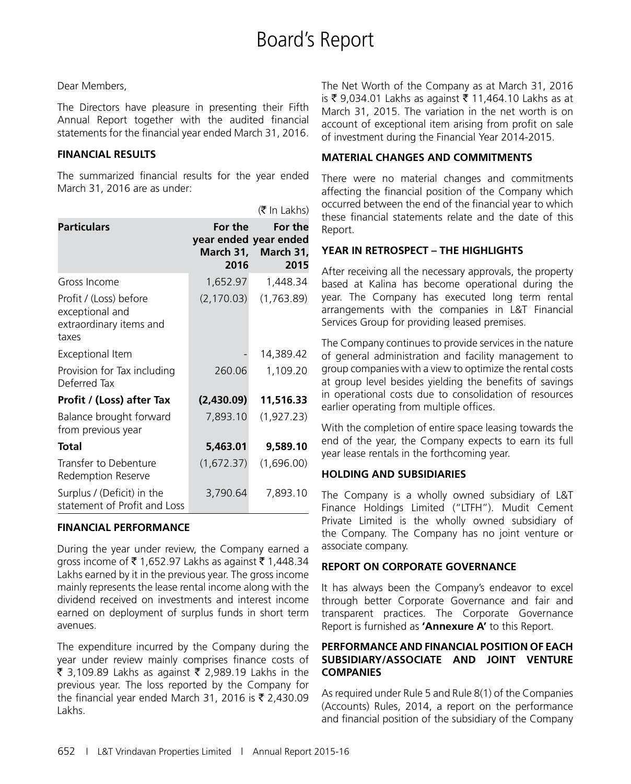#### Dear Members,

The Directors have pleasure in presenting their Fifth Annual Report together with the audited financial statements for the financial year ended March 31, 2016.

#### **FINANCIAL RESULTS**

The summarized financial results for the year ended March 31, 2016 are as under:

|                                                                               |                 | (₹ In Lakhs)                                                    |
|-------------------------------------------------------------------------------|-----------------|-----------------------------------------------------------------|
| <b>Particulars</b>                                                            | For the<br>2016 | For the<br>year ended year ended<br>March 31, March 31,<br>2015 |
| Gross Income                                                                  | 1,652.97        | 1,448.34                                                        |
| Profit / (Loss) before<br>exceptional and<br>extraordinary items and<br>taxes | (2, 170.03)     | (1,763.89)                                                      |
| Exceptional Item                                                              |                 | 14,389.42                                                       |
| Provision for Tax including<br>Deferred Tax                                   | 260.06          | 1,109.20                                                        |
| Profit / (Loss) after Tax                                                     | (2,430.09)      | 11,516.33                                                       |
| Balance brought forward<br>from previous year                                 | 7,893.10        | (1, 927.23)                                                     |
| <b>Total</b>                                                                  | 5,463.01        | 9,589.10                                                        |
| Transfer to Debenture<br>Redemption Reserve                                   | (1,672.37)      | (1,696.00)                                                      |
| Surplus / (Deficit) in the<br>statement of Profit and Loss                    | 3,790.64        | 7,893.10                                                        |

#### **FINANCIAL PERFORMANCE**

During the year under review, the Company earned a gross income of ₹1,652.97 Lakhs as against ₹1,448.34 Lakhs earned by it in the previous year. The gross income mainly represents the lease rental income along with the dividend received on investments and interest income earned on deployment of surplus funds in short term avenues.

The expenditure incurred by the Company during the year under review mainly comprises finance costs of ₹ 3,109.89 Lakhs as against ₹ 2,989.19 Lakhs in the previous year. The loss reported by the Company for the financial year ended March 31, 2016 is  $\bar{\tau}$  2,430.09 Lakhs.

The Net Worth of the Company as at March 31, 2016 is ₹ 9,034.01 Lakhs as against ₹ 11,464.10 Lakhs as at March 31, 2015. The variation in the net worth is on account of exceptional item arising from profit on sale of investment during the Financial Year 2014-2015.

#### **MATERIAL CHANGES AND COMMITMENTS**

There were no material changes and commitments affecting the financial position of the Company which occurred between the end of the financial year to which these financial statements relate and the date of this Report.

#### **YEAR IN RETROSPECT – THE HIGHLIGHTS**

After receiving all the necessary approvals, the property based at Kalina has become operational during the year. The Company has executed long term rental arrangements with the companies in L&T Financial Services Group for providing leased premises.

The Company continues to provide services in the nature of general administration and facility management to group companies with a view to optimize the rental costs at group level besides yielding the benefits of savings in operational costs due to consolidation of resources earlier operating from multiple offices.

With the completion of entire space leasing towards the end of the year, the Company expects to earn its full year lease rentals in the forthcoming year.

#### **HOLDING AND SUBSIDIARIES**

The Company is a wholly owned subsidiary of L&T Finance Holdings Limited ("LTFH"). Mudit Cement Private Limited is the wholly owned subsidiary of the Company. The Company has no joint venture or associate company.

#### **REPORT ON CORPORATE GOVERNANCE**

It has always been the Company's endeavor to excel through better Corporate Governance and fair and transparent practices. The Corporate Governance Report is furnished as **'Annexure A'** to this Report.

#### **PERFORMANCE AND FINANCIAL POSITION OF EACH SUBSIDIARY/ASSOCIATE AND JOINT VENTURE COMPANIES**

As required under Rule 5 and Rule 8(1) of the Companies (Accounts) Rules, 2014, a report on the performance and financial position of the subsidiary of the Company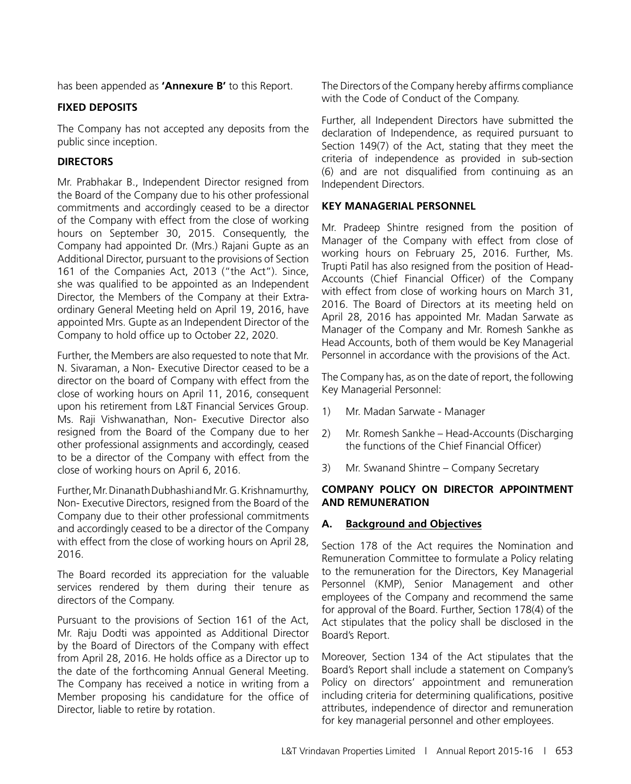has been appended as **'Annexure B'** to this Report.

#### **FIXED DEPOSITS**

The Company has not accepted any deposits from the public since inception.

#### **DIRECTORS**

Mr. Prabhakar B., Independent Director resigned from the Board of the Company due to his other professional commitments and accordingly ceased to be a director of the Company with effect from the close of working hours on September 30, 2015. Consequently, the Company had appointed Dr. (Mrs.) Rajani Gupte as an Additional Director, pursuant to the provisions of Section 161 of the Companies Act, 2013 ("the Act"). Since, she was qualified to be appointed as an Independent Director, the Members of the Company at their Extraordinary General Meeting held on April 19, 2016, have appointed Mrs. Gupte as an Independent Director of the Company to hold office up to October 22, 2020.

Further, the Members are also requested to note that Mr. N. Sivaraman, a Non- Executive Director ceased to be a director on the board of Company with effect from the close of working hours on April 11, 2016, consequent upon his retirement from L&T Financial Services Group. Ms. Raji Vishwanathan, Non- Executive Director also resigned from the Board of the Company due to her other professional assignments and accordingly, ceased to be a director of the Company with effect from the close of working hours on April 6, 2016.

Further, Mr. Dinanath Dubhashi and Mr. G. Krishnamurthy, Non- Executive Directors, resigned from the Board of the Company due to their other professional commitments and accordingly ceased to be a director of the Company with effect from the close of working hours on April 28, 2016.

The Board recorded its appreciation for the valuable services rendered by them during their tenure as directors of the Company.

Pursuant to the provisions of Section 161 of the Act, Mr. Raju Dodti was appointed as Additional Director by the Board of Directors of the Company with effect from April 28, 2016. He holds office as a Director up to the date of the forthcoming Annual General Meeting. The Company has received a notice in writing from a Member proposing his candidature for the office of Director, liable to retire by rotation.

The Directors of the Company hereby affirms compliance with the Code of Conduct of the Company.

Further, all Independent Directors have submitted the declaration of Independence, as required pursuant to Section 149(7) of the Act, stating that they meet the criteria of independence as provided in sub-section (6) and are not disqualified from continuing as an Independent Directors.

#### **KEY MANAGERIAL PERSONNEL**

Mr. Pradeep Shintre resigned from the position of Manager of the Company with effect from close of working hours on February 25, 2016. Further, Ms. Trupti Patil has also resigned from the position of Head-Accounts (Chief Financial Officer) of the Company with effect from close of working hours on March 31, 2016. The Board of Directors at its meeting held on April 28, 2016 has appointed Mr. Madan Sarwate as Manager of the Company and Mr. Romesh Sankhe as Head Accounts, both of them would be Key Managerial Personnel in accordance with the provisions of the Act.

The Company has, as on the date of report, the following Key Managerial Personnel:

- 1) Mr. Madan Sarwate Manager
- 2) Mr. Romesh Sankhe Head-Accounts (Discharging the functions of the Chief Financial Officer)
- 3) Mr. Swanand Shintre Company Secretary

#### **COMPANY POLICY ON DIRECTOR APPOINTMENT AND REMUNERATION**

#### **A. Background and Objectives**

Section 178 of the Act requires the Nomination and Remuneration Committee to formulate a Policy relating to the remuneration for the Directors, Key Managerial Personnel (KMP), Senior Management and other employees of the Company and recommend the same for approval of the Board. Further, Section 178(4) of the Act stipulates that the policy shall be disclosed in the Board's Report.

Moreover, Section 134 of the Act stipulates that the Board's Report shall include a statement on Company's Policy on directors' appointment and remuneration including criteria for determining qualifications, positive attributes, independence of director and remuneration for key managerial personnel and other employees.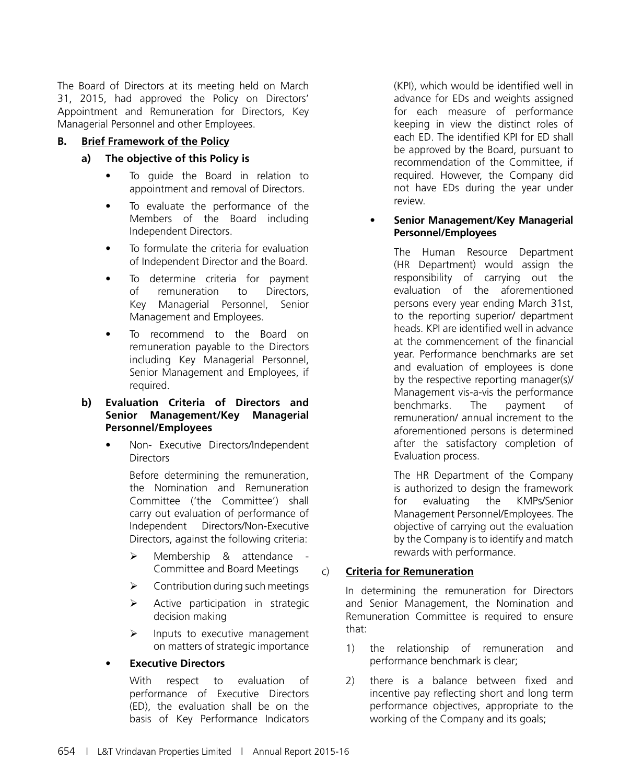The Board of Directors at its meeting held on March 31, 2015, had approved the Policy on Directors' Appointment and Remuneration for Directors, Key Managerial Personnel and other Employees.

#### **B. Brief Framework of the Policy**

#### **a) The objective of this Policy is**

- To guide the Board in relation to appointment and removal of Directors.
- To evaluate the performance of the Members of the Board including Independent Directors.
- To formulate the criteria for evaluation of Independent Director and the Board.
- To determine criteria for payment of remuneration to Directors, Key Managerial Personnel, Senior Management and Employees.
- To recommend to the Board on remuneration payable to the Directors including Key Managerial Personnel, Senior Management and Employees, if required.

#### **b) Evaluation Criteria of Directors and Senior Management/Key Managerial Personnel/Employees**

Non- Executive Directors/Independent **Directors** 

> Before determining the remuneration, the Nomination and Remuneration Committee ('the Committee') shall carry out evaluation of performance of Independent Directors/Non-Executive Directors, against the following criteria:

- > Membership & attendance -Committee and Board Meetings
- $\triangleright$  Contribution during such meetings
- $\triangleright$  Active participation in strategic decision making
- $\triangleright$  Inputs to executive management on matters of strategic importance

#### **Executive Directors**

With respect to evaluation of performance of Executive Directors (ED), the evaluation shall be on the basis of Key Performance Indicators

(KPI), which would be identified well in advance for EDs and weights assigned for each measure of performance keeping in view the distinct roles of each ED. The identified KPI for ED shall be approved by the Board, pursuant to recommendation of the Committee, if required. However, the Company did not have EDs during the year under review.

#### **Senior Management/Key Managerial Personnel/Employees**

The Human Resource Department (HR Department) would assign the responsibility of carrying out the evaluation of the aforementioned persons every year ending March 31st, to the reporting superior/ department heads. KPI are identified well in advance at the commencement of the financial year. Performance benchmarks are set and evaluation of employees is done by the respective reporting manager(s)/ Management vis-a-vis the performance benchmarks. The payment of remuneration/ annual increment to the aforementioned persons is determined after the satisfactory completion of Evaluation process.

The HR Department of the Company is authorized to design the framework for evaluating the KMPs/Senior Management Personnel/Employees. The objective of carrying out the evaluation by the Company is to identify and match rewards with performance.

#### c) **Criteria for Remuneration**

In determining the remuneration for Directors and Senior Management, the Nomination and Remuneration Committee is required to ensure that:

- 1) the relationship of remuneration and performance benchmark is clear;
- 2) there is a balance between fixed and incentive pay reflecting short and long term performance objectives, appropriate to the working of the Company and its goals;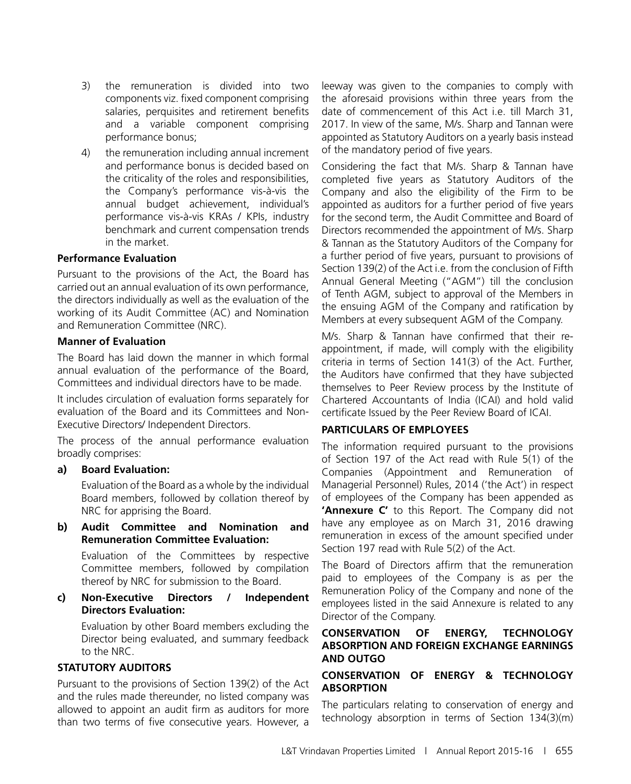- 3) the remuneration is divided into two components viz. fixed component comprising salaries, perquisites and retirement benefits and a variable component comprising performance bonus;
- 4) the remuneration including annual increment and performance bonus is decided based on the criticality of the roles and responsibilities, the Company's performance vis-à-vis the annual budget achievement, individual's performance vis-à-vis KRAs / KPIs, industry benchmark and current compensation trends in the market.

#### **Performance Evaluation**

Pursuant to the provisions of the Act, the Board has carried out an annual evaluation of its own performance, the directors individually as well as the evaluation of the working of its Audit Committee (AC) and Nomination and Remuneration Committee (NRC).

#### **Manner of Evaluation**

The Board has laid down the manner in which formal annual evaluation of the performance of the Board, Committees and individual directors have to be made.

It includes circulation of evaluation forms separately for evaluation of the Board and its Committees and Non-Executive Directors/ Independent Directors.

The process of the annual performance evaluation broadly comprises:

**a) Board Evaluation:**

Evaluation of the Board as a whole by the individual Board members, followed by collation thereof by NRC for apprising the Board.

**b) Audit Committee and Nomination and Remuneration Committee Evaluation:**

Evaluation of the Committees by respective Committee members, followed by compilation thereof by NRC for submission to the Board.

**c) Non-Executive Directors / Independent Directors Evaluation:**

Evaluation by other Board members excluding the Director being evaluated, and summary feedback to the NRC.

#### **STATUTORY AUDITORS**

Pursuant to the provisions of Section 139(2) of the Act and the rules made thereunder, no listed company was allowed to appoint an audit firm as auditors for more than two terms of five consecutive years. However, a leeway was given to the companies to comply with the aforesaid provisions within three years from the date of commencement of this Act i.e. till March 31, 2017. In view of the same, M/s. Sharp and Tannan were appointed as Statutory Auditors on a yearly basis instead of the mandatory period of five years.

Considering the fact that M/s. Sharp & Tannan have completed five years as Statutory Auditors of the Company and also the eligibility of the Firm to be appointed as auditors for a further period of five years for the second term, the Audit Committee and Board of Directors recommended the appointment of M/s. Sharp & Tannan as the Statutory Auditors of the Company for a further period of five years, pursuant to provisions of Section 139(2) of the Act i.e. from the conclusion of Fifth Annual General Meeting ("AGM") till the conclusion of Tenth AGM, subject to approval of the Members in the ensuing AGM of the Company and ratification by Members at every subsequent AGM of the Company.

M/s. Sharp & Tannan have confirmed that their reappointment, if made, will comply with the eligibility criteria in terms of Section 141(3) of the Act. Further, the Auditors have confirmed that they have subjected themselves to Peer Review process by the Institute of Chartered Accountants of India (ICAI) and hold valid certificate Issued by the Peer Review Board of ICAI.

#### **PARTICULARS OF EMPLOYEES**

The information required pursuant to the provisions of Section 197 of the Act read with Rule 5(1) of the Companies (Appointment and Remuneration of Managerial Personnel) Rules, 2014 ('the Act') in respect of employees of the Company has been appended as **'Annexure C'** to this Report. The Company did not have any employee as on March 31, 2016 drawing remuneration in excess of the amount specified under Section 197 read with Rule 5(2) of the Act.

The Board of Directors affirm that the remuneration paid to employees of the Company is as per the Remuneration Policy of the Company and none of the employees listed in the said Annexure is related to any Director of the Company.

#### **CONSERVATION OF ENERGY, TECHNOLOGY ABSORPTION AND FOREIGN EXCHANGE EARNINGS AND OUTGO**

#### **CONSERVATION OF ENERGY & TECHNOLOGY ABSORPTION**

The particulars relating to conservation of energy and technology absorption in terms of Section 134(3)(m)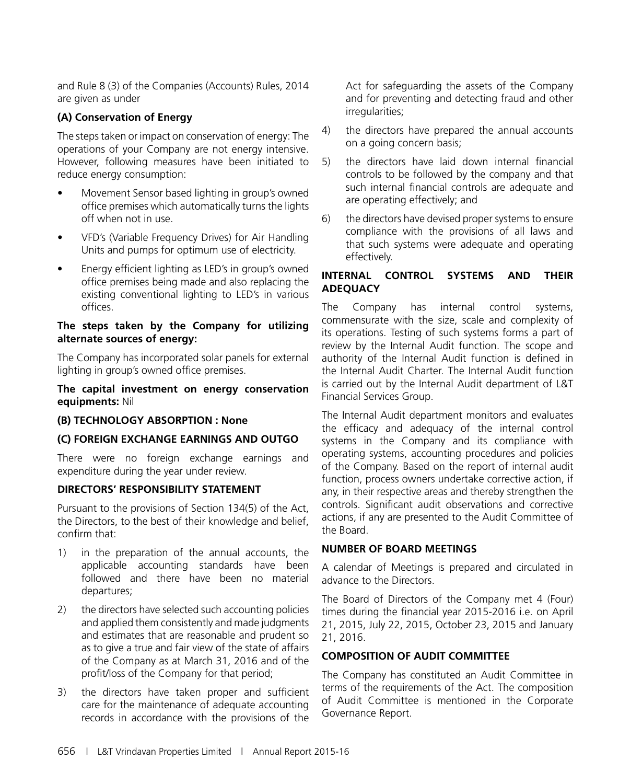and Rule 8 (3) of the Companies (Accounts) Rules, 2014 are given as under

#### **(A) Conservation of Energy**

The steps taken or impact on conservation of energy: The operations of your Company are not energy intensive. However, following measures have been initiated to reduce energy consumption:

- Movement Sensor based lighting in group's owned office premises which automatically turns the lights off when not in use.
- VFD's (Variable Frequency Drives) for Air Handling Units and pumps for optimum use of electricity.
- Energy efficient lighting as LED's in group's owned office premises being made and also replacing the existing conventional lighting to LED's in various offices.

#### **The steps taken by the Company for utilizing alternate sources of energy:**

The Company has incorporated solar panels for external lighting in group's owned office premises.

#### **The capital investment on energy conservation equipments:** Nil

#### **(B) TECHNOLOGY ABSORPTION : None**

#### **(C) FOREIGN EXCHANGE EARNINGS AND OUTGO**

There were no foreign exchange earnings and expenditure during the year under review.

#### **DIRECTORS' RESPONSIBILITY STATEMENT**

Pursuant to the provisions of Section 134(5) of the Act, the Directors, to the best of their knowledge and belief, confirm that:

- 1) in the preparation of the annual accounts, the applicable accounting standards have been followed and there have been no material departures;
- 2) the directors have selected such accounting policies and applied them consistently and made judgments and estimates that are reasonable and prudent so as to give a true and fair view of the state of affairs of the Company as at March 31, 2016 and of the profit/loss of the Company for that period;
- 3) the directors have taken proper and sufficient care for the maintenance of adequate accounting records in accordance with the provisions of the

Act for safeguarding the assets of the Company and for preventing and detecting fraud and other irregularities;

- 4) the directors have prepared the annual accounts on a going concern basis;
- 5) the directors have laid down internal financial controls to be followed by the company and that such internal financial controls are adequate and are operating effectively; and
- 6) the directors have devised proper systems to ensure compliance with the provisions of all laws and that such systems were adequate and operating effectively.

#### **INTERNAL CONTROL SYSTEMS AND THEIR ADEQUACY**

The Company has internal control systems, commensurate with the size, scale and complexity of its operations. Testing of such systems forms a part of review by the Internal Audit function. The scope and authority of the Internal Audit function is defined in the Internal Audit Charter. The Internal Audit function is carried out by the Internal Audit department of L&T Financial Services Group.

The Internal Audit department monitors and evaluates the efficacy and adequacy of the internal control systems in the Company and its compliance with operating systems, accounting procedures and policies of the Company. Based on the report of internal audit function, process owners undertake corrective action, if any, in their respective areas and thereby strengthen the controls. Significant audit observations and corrective actions, if any are presented to the Audit Committee of the Board.

#### **NUMBER OF BOARD MEETINGS**

A calendar of Meetings is prepared and circulated in advance to the Directors.

The Board of Directors of the Company met 4 (Four) times during the financial year 2015-2016 i.e. on April 21, 2015, July 22, 2015, October 23, 2015 and January 21, 2016.

#### **COMPOSITION OF AUDIT COMMITTEE**

The Company has constituted an Audit Committee in terms of the requirements of the Act. The composition of Audit Committee is mentioned in the Corporate Governance Report.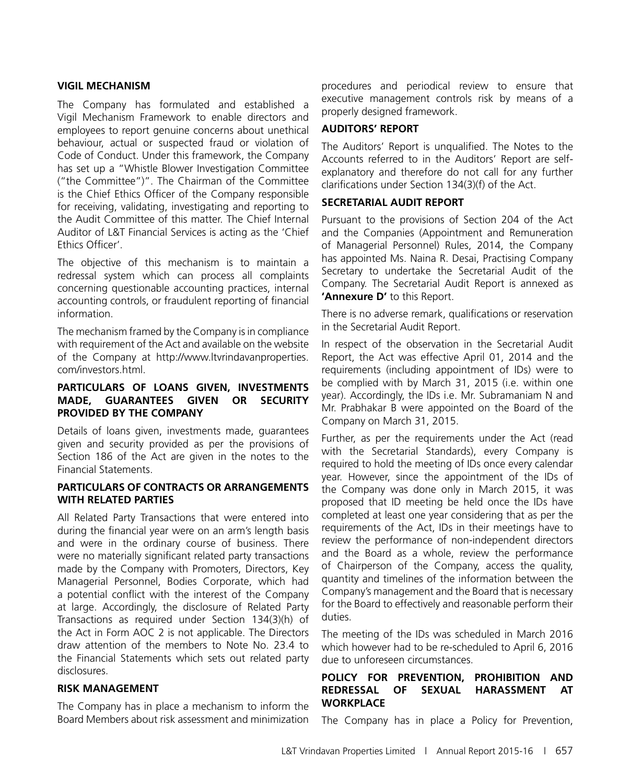#### **VIGIL MECHANISM**

The Company has formulated and established a Vigil Mechanism Framework to enable directors and employees to report genuine concerns about unethical behaviour, actual or suspected fraud or violation of Code of Conduct. Under this framework, the Company has set up a "Whistle Blower Investigation Committee ("the Committee")". The Chairman of the Committee is the Chief Ethics Officer of the Company responsible for receiving, validating, investigating and reporting to the Audit Committee of this matter. The Chief Internal Auditor of L&T Financial Services is acting as the 'Chief Ethics Officer'.

The objective of this mechanism is to maintain a redressal system which can process all complaints concerning questionable accounting practices, internal accounting controls, or fraudulent reporting of financial information.

The mechanism framed by the Company is in compliance with requirement of the Act and available on the website of the Company at http://www.ltvrindavanproperties. com/investors.html.

#### **PARTICULARS OF LOANS GIVEN, INVESTMENTS MADE, GUARANTEES GIVEN OR SECURITY PROVIDED BY THE COMPANY**

Details of loans given, investments made, guarantees given and security provided as per the provisions of Section 186 of the Act are given in the notes to the Financial Statements.

#### **PARTICULARS OF CONTRACTS OR ARRANGEMENTS WITH RELATED PARTIES**

All Related Party Transactions that were entered into during the financial year were on an arm's length basis and were in the ordinary course of business. There were no materially significant related party transactions made by the Company with Promoters, Directors, Key Managerial Personnel, Bodies Corporate, which had a potential conflict with the interest of the Company at large. Accordingly, the disclosure of Related Party Transactions as required under Section 134(3)(h) of the Act in Form AOC 2 is not applicable. The Directors draw attention of the members to Note No. 23.4 to the Financial Statements which sets out related party disclosures.

#### **RISK MANAGEMENT**

The Company has in place a mechanism to inform the Board Members about risk assessment and minimization procedures and periodical review to ensure that executive management controls risk by means of a properly designed framework.

#### **AUDITORS' REPORT**

The Auditors' Report is unqualified. The Notes to the Accounts referred to in the Auditors' Report are selfexplanatory and therefore do not call for any further clarifications under Section 134(3)(f) of the Act.

#### **SECRETARIAL AUDIT REPORT**

Pursuant to the provisions of Section 204 of the Act and the Companies (Appointment and Remuneration of Managerial Personnel) Rules, 2014, the Company has appointed Ms. Naina R. Desai, Practising Company Secretary to undertake the Secretarial Audit of the Company. The Secretarial Audit Report is annexed as **'Annexure D'** to this Report.

There is no adverse remark, qualifications or reservation in the Secretarial Audit Report.

In respect of the observation in the Secretarial Audit Report, the Act was effective April 01, 2014 and the requirements (including appointment of IDs) were to be complied with by March 31, 2015 (i.e. within one year). Accordingly, the IDs i.e. Mr. Subramaniam N and Mr. Prabhakar B were appointed on the Board of the Company on March 31, 2015.

Further, as per the requirements under the Act (read with the Secretarial Standards), every Company is required to hold the meeting of IDs once every calendar year. However, since the appointment of the IDs of the Company was done only in March 2015, it was proposed that ID meeting be held once the IDs have completed at least one year considering that as per the requirements of the Act, IDs in their meetings have to review the performance of non-independent directors and the Board as a whole, review the performance of Chairperson of the Company, access the quality, quantity and timelines of the information between the Company's management and the Board that is necessary for the Board to effectively and reasonable perform their duties.

The meeting of the IDs was scheduled in March 2016 which however had to be re-scheduled to April 6, 2016 due to unforeseen circumstances.

#### **POLICY FOR PREVENTION, PROHIBITION AND REDRESSAL OF SEXUAL HARASSMENT AT WORKPLACE**

The Company has in place a Policy for Prevention,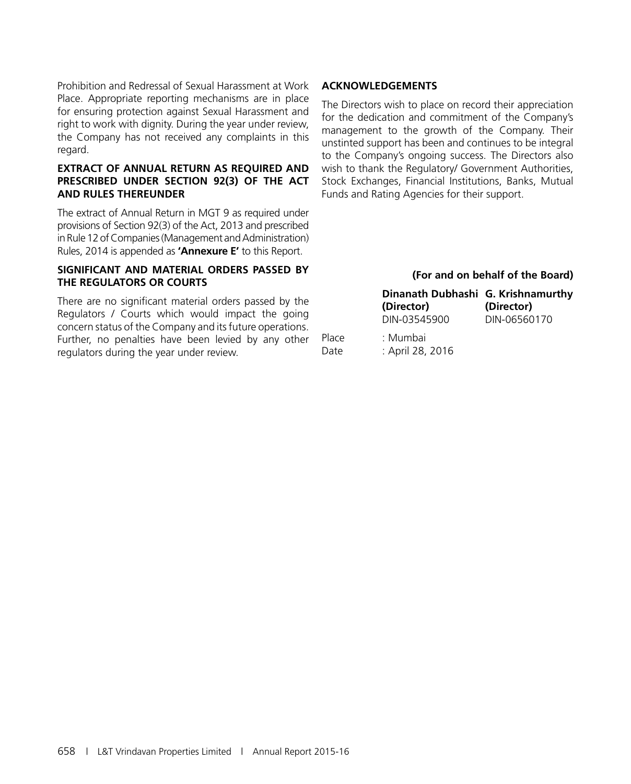Prohibition and Redressal of Sexual Harassment at Work Place. Appropriate reporting mechanisms are in place for ensuring protection against Sexual Harassment and right to work with dignity. During the year under review, the Company has not received any complaints in this regard.

#### **EXTRACT OF ANNUAL RETURN AS REQUIRED AND PRESCRIBED UNDER SECTION 92(3) OF THE ACT AND RULES THEREUNDER**

The extract of Annual Return in MGT 9 as required under provisions of Section 92(3) of the Act, 2013 and prescribed in Rule 12 of Companies (Management and Administration) Rules, 2014 is appended as **'Annexure E'** to this Report.

#### **SIGNIFICANT AND MATERIAL ORDERS PASSED BY THE REGULATORS OR COURTS**

There are no significant material orders passed by the Regulators / Courts which would impact the going concern status of the Company and its future operations. Further, no penalties have been levied by any other regulators during the year under review.

#### **ACKNOWLEDGEMENTS**

The Directors wish to place on record their appreciation for the dedication and commitment of the Company's management to the growth of the Company. Their unstinted support has been and continues to be integral to the Company's ongoing success. The Directors also wish to thank the Regulatory/ Government Authorities, Stock Exchanges, Financial Institutions, Banks, Mutual Funds and Rating Agencies for their support.

#### **(For and on behalf of the Board)**

| Dinanath Dubhashi G. Krishnamurthy<br>(Director) | (Director)   |
|--------------------------------------------------|--------------|
| DIN-03545900                                     | DIN-06560170 |

Place : Mumbai Date : April 28, 2016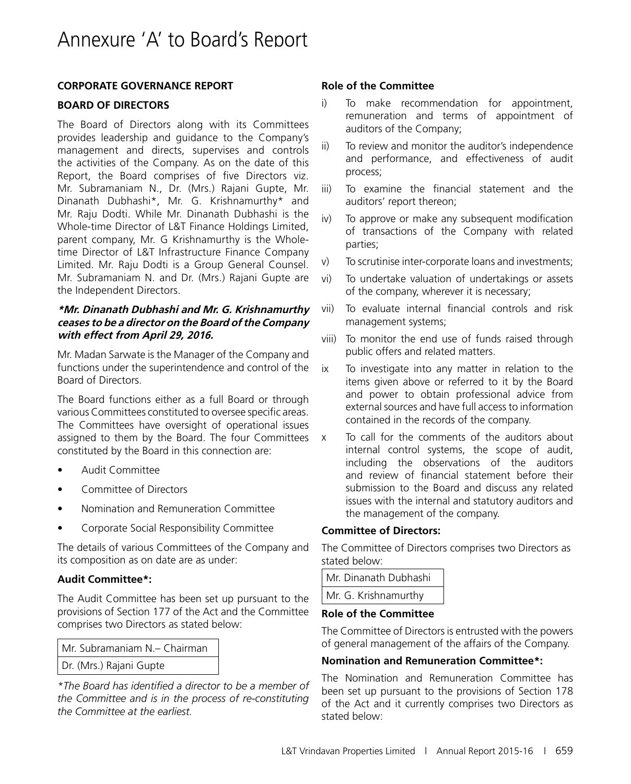#### **CORPORATE GOVERNANCE REPORT**

#### **BOARD OF DIRECTORS**

The Board of Directors along with its Committees provides leadership and guidance to the Company's management and directs, supervises and controls the activities of the Company. As on the date of this Report, the Board comprises of five Directors viz. Mr. Subramaniam N., Dr. (Mrs.) Rajani Gupte, Mr. Dinanath Dubhashi\*, Mr. G. Krishnamurthy\* and Mr. Raju Dodti. While Mr. Dinanath Dubhashi is the Whole-time Director of L&T Finance Holdings Limited, parent company, Mr. G Krishnamurthy is the Wholetime Director of L&T Infrastructure Finance Company Limited. Mr. Raju Dodti is a Group General Counsel. Mr. Subramaniam N. and Dr. (Mrs.) Rajani Gupte are the Independent Directors.

#### **\*Mr. Dinanath Dubhashi and Mr. G. Krishnamurthy ceases to be a director on the Board of the Company with effect from April 29, 2016.**

Mr. Madan Sarwate is the Manager of the Company and functions under the superintendence and control of the Board of Directors.

The Board functions either as a full Board or through various Committees constituted to oversee specific areas. The Committees have oversight of operational issues assigned to them by the Board. The four Committees constituted by the Board in this connection are:

- • Audit Committee
- Committee of Directors
- • Nomination and Remuneration Committee
- Corporate Social Responsibility Committee

The details of various Committees of the Company and its composition as on date are as under:

#### **Audit Committee\*:**

The Audit Committee has been set up pursuant to the provisions of Section 177 of the Act and the Committee comprises two Directors as stated below:

| Mr. Subramaniam N. - Chairman |
|-------------------------------|
| Dr. (Mrs.) Rajani Gupte       |

*\*The Board has identified a director to be a member of the Committee and is in the process of re-constituting the Committee at the earliest.*

#### **Role of the Committee**

- i) To make recommendation for appointment, remuneration and terms of appointment of auditors of the Company;
- ii) To review and monitor the auditor's independence and performance, and effectiveness of audit process;
- iii) To examine the financial statement and the auditors' report thereon;
- iv) To approve or make any subsequent modification of transactions of the Company with related parties;
- v) To scrutinise inter-corporate loans and investments;
- vi) To undertake valuation of undertakings or assets of the company, wherever it is necessary;
- vii) To evaluate internal financial controls and risk management systems;
- viii) To monitor the end use of funds raised through public offers and related matters.
- ix To investigate into any matter in relation to the items given above or referred to it by the Board and power to obtain professional advice from external sources and have full access to information contained in the records of the company.
- x To call for the comments of the auditors about internal control systems, the scope of audit, including the observations of the auditors and review of financial statement before their submission to the Board and discuss any related issues with the internal and statutory auditors and the management of the company.

#### **Committee of Directors:**

The Committee of Directors comprises two Directors as stated below:

| Mr. Dinanath Dubhashi |  |
|-----------------------|--|
| Mr. G. Krishnamurthy  |  |

#### **Role of the Committee**

The Committee of Directors is entrusted with the powers of general management of the affairs of the Company.

#### **Nomination and Remuneration Committee\*:**

The Nomination and Remuneration Committee has been set up pursuant to the provisions of Section 178 of the Act and it currently comprises two Directors as stated below: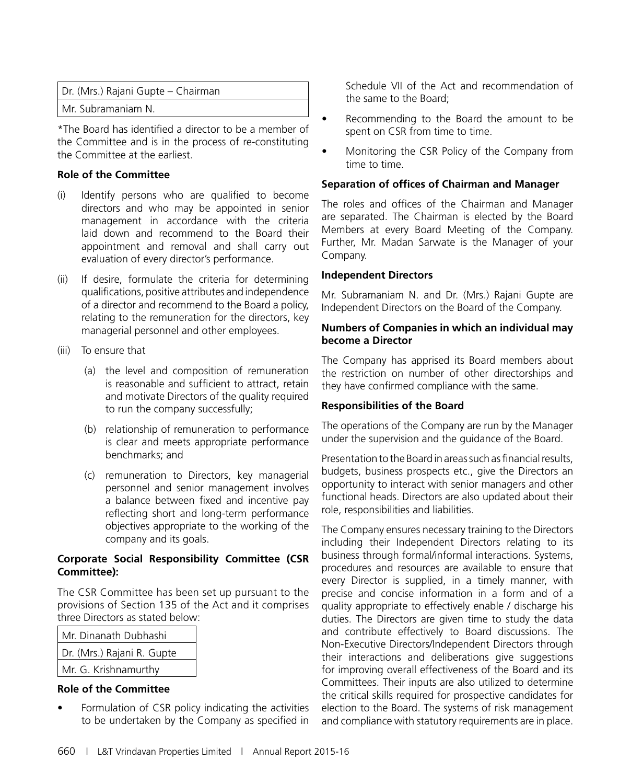| Dr. (Mrs.) Rajani Gupte – Chairman |
|------------------------------------|
| Mr. Subramaniam N.                 |

\*The Board has identified a director to be a member of the Committee and is in the process of re-constituting the Committee at the earliest.

#### **Role of the Committee**

- (i) Identify persons who are qualified to become directors and who may be appointed in senior management in accordance with the criteria laid down and recommend to the Board their appointment and removal and shall carry out evaluation of every director's performance.
- (ii) If desire, formulate the criteria for determining qualifications, positive attributes and independence of a director and recommend to the Board a policy, relating to the remuneration for the directors, key managerial personnel and other employees.
- (iii) To ensure that
	- (a) the level and composition of remuneration is reasonable and sufficient to attract, retain and motivate Directors of the quality required to run the company successfully;
	- (b) relationship of remuneration to performance is clear and meets appropriate performance benchmarks; and
	- (c) remuneration to Directors, key managerial personnel and senior management involves a balance between fixed and incentive pay reflecting short and long-term performance objectives appropriate to the working of the company and its goals.

#### **Corporate Social Responsibility Committee (CSR Committee):**

The CSR Committee has been set up pursuant to the provisions of Section 135 of the Act and it comprises three Directors as stated below:

| Mr. Dinanath Dubhashi      |
|----------------------------|
| Dr. (Mrs.) Rajani R. Gupte |
| Mr. G. Krishnamurthy       |
|                            |

#### **Role of the Committee**

Formulation of CSR policy indicating the activities to be undertaken by the Company as specified in Schedule VII of the Act and recommendation of the same to the Board;

- Recommending to the Board the amount to be spent on CSR from time to time.
- Monitoring the CSR Policy of the Company from time to time.

#### **Separation of offices of Chairman and Manager**

The roles and offices of the Chairman and Manager are separated. The Chairman is elected by the Board Members at every Board Meeting of the Company. Further, Mr. Madan Sarwate is the Manager of your Company.

#### **Independent Directors**

Mr. Subramaniam N. and Dr. (Mrs.) Rajani Gupte are Independent Directors on the Board of the Company.

#### **Numbers of Companies in which an individual may become a Director**

The Company has apprised its Board members about the restriction on number of other directorships and they have confirmed compliance with the same.

#### **Responsibilities of the Board**

The operations of the Company are run by the Manager under the supervision and the guidance of the Board.

Presentation to the Board in areas such as financial results, budgets, business prospects etc., give the Directors an opportunity to interact with senior managers and other functional heads. Directors are also updated about their role, responsibilities and liabilities.

The Company ensures necessary training to the Directors including their Independent Directors relating to its business through formal/informal interactions. Systems, procedures and resources are available to ensure that every Director is supplied, in a timely manner, with precise and concise information in a form and of a quality appropriate to effectively enable / discharge his duties. The Directors are given time to study the data and contribute effectively to Board discussions. The Non-Executive Directors/Independent Directors through their interactions and deliberations give suggestions for improving overall effectiveness of the Board and its Committees. Their inputs are also utilized to determine the critical skills required for prospective candidates for election to the Board. The systems of risk management and compliance with statutory requirements are in place.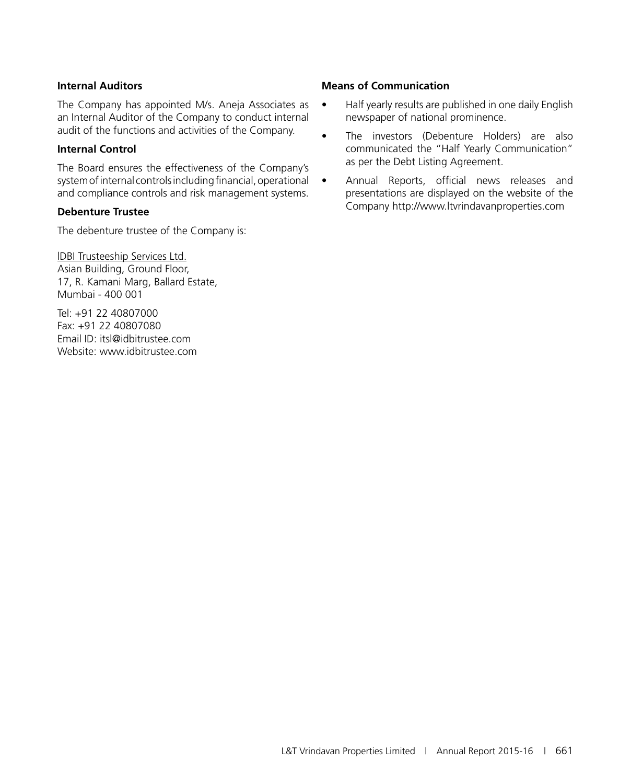#### **Internal Auditors**

The Company has appointed M/s. Aneja Associates as an Internal Auditor of the Company to conduct internal audit of the functions and activities of the Company.

#### **Internal Control**

The Board ensures the effectiveness of the Company's system of internal controls including financial, operational and compliance controls and risk management systems.

#### **Debenture Trustee**

The debenture trustee of the Company is:

lDBI Trusteeship Services Ltd. Asian Building, Ground Floor, 17, R. Kamani Marg, Ballard Estate, Mumbai - 400 001

Tel: +91 22 40807000 Fax: +91 22 40807080 Email ID: itsl@idbitrustee.com Website: www.idbitrustee.com

#### **Means of Communication**

- Half yearly results are published in one daily English newspaper of national prominence.
- The investors (Debenture Holders) are also communicated the "Half Yearly Communication" as per the Debt Listing Agreement.
- Annual Reports, official news releases and presentations are displayed on the website of the Company http://www.ltvrindavanproperties.com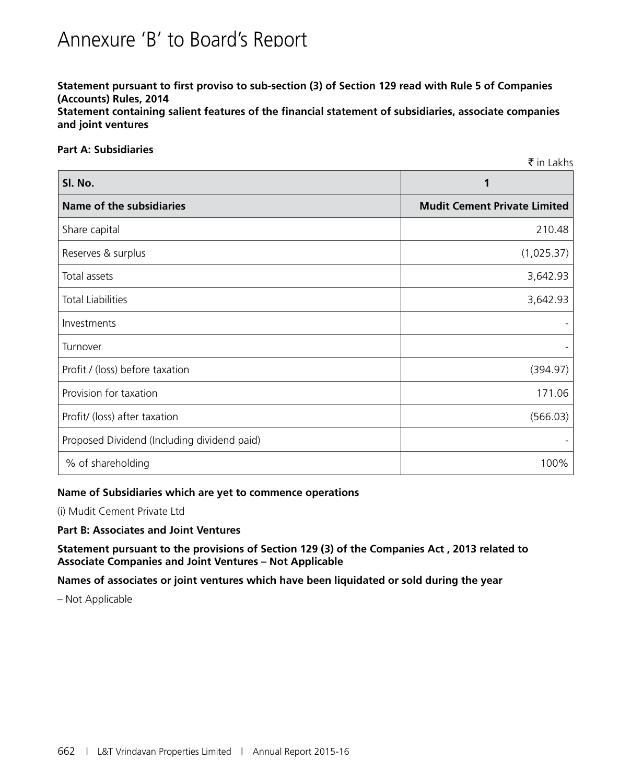# Annexure 'B' to Board's Report

**Statement pursuant to first proviso to sub-section (3) of Section 129 read with Rule 5 of Companies (Accounts) Rules, 2014 Statement containing salient features of the financial statement of subsidiaries, associate companies and joint ventures**

#### **Part A: Subsidiaries**

|                                             | ₹ in Lakhs                          |
|---------------------------------------------|-------------------------------------|
| Sl. No.                                     | 1                                   |
| <b>Name of the subsidiaries</b>             | <b>Mudit Cement Private Limited</b> |
| Share capital                               | 210.48                              |
| Reserves & surplus                          | (1,025.37)                          |
| Total assets                                | 3,642.93                            |
| <b>Total Liabilities</b>                    | 3,642.93                            |
| Investments                                 |                                     |
| Turnover                                    |                                     |
| Profit / (loss) before taxation             | (394.97)                            |
| Provision for taxation                      | 171.06                              |
| Profit/ (loss) after taxation               | (566.03)                            |
| Proposed Dividend (Including dividend paid) |                                     |
| % of shareholding                           | 100%                                |

#### **Name of Subsidiaries which are yet to commence operations**

(i) Mudit Cement Private Ltd

#### **Part B: Associates and Joint Ventures**

**Statement pursuant to the provisions of Section 129 (3) of the Companies Act , 2013 related to Associate Companies and Joint Ventures – Not Applicable**

**Names of associates or joint ventures which have been liquidated or sold during the year**

– Not Applicable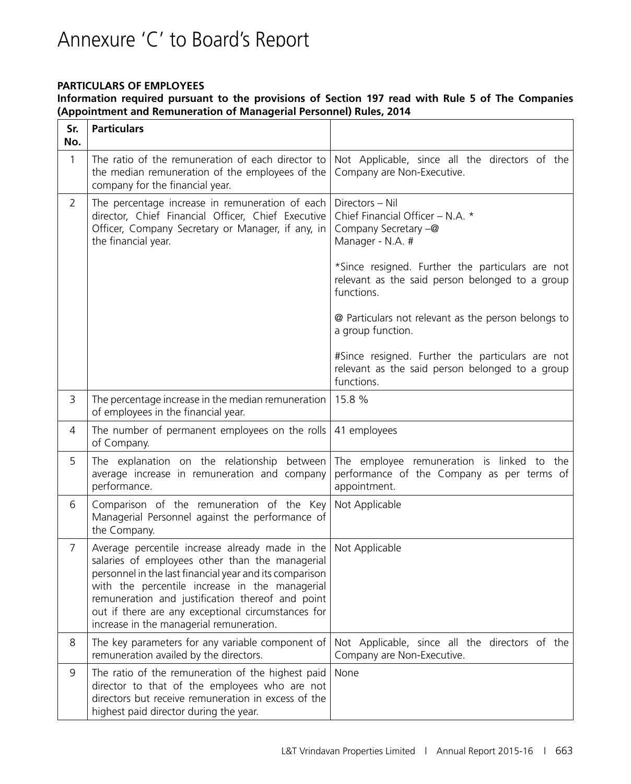# Annexure 'C' to Board's Report

#### **PARTICULARS OF EMPLOYEES**

**Information required pursuant to the provisions of Section 197 read with Rule 5 of The Companies (Appointment and Remuneration of Managerial Personnel) Rules, 2014**

| Sr.<br>No.     | <b>Particulars</b>                                                                                                                                                                                                                                                                                                                                                    |                                                                                                                   |
|----------------|-----------------------------------------------------------------------------------------------------------------------------------------------------------------------------------------------------------------------------------------------------------------------------------------------------------------------------------------------------------------------|-------------------------------------------------------------------------------------------------------------------|
| 1              | The ratio of the remuneration of each director to<br>the median remuneration of the employees of the<br>company for the financial year.                                                                                                                                                                                                                               | Not Applicable, since all the directors of the<br>Company are Non-Executive.                                      |
| $\overline{2}$ | The percentage increase in remuneration of each<br>director, Chief Financial Officer, Chief Executive<br>Officer, Company Secretary or Manager, if any, in<br>the financial year.                                                                                                                                                                                     | Directors - Nil<br>Chief Financial Officer - N.A. *<br>Company Secretary -@<br>Manager - N.A. #                   |
|                |                                                                                                                                                                                                                                                                                                                                                                       | *Since resigned. Further the particulars are not<br>relevant as the said person belonged to a group<br>functions. |
|                |                                                                                                                                                                                                                                                                                                                                                                       | @ Particulars not relevant as the person belongs to<br>a group function.                                          |
|                |                                                                                                                                                                                                                                                                                                                                                                       | #Since resigned. Further the particulars are not<br>relevant as the said person belonged to a group<br>functions. |
| 3              | The percentage increase in the median remuneration<br>of employees in the financial year.                                                                                                                                                                                                                                                                             | 15.8 %                                                                                                            |
| 4              | The number of permanent employees on the rolls<br>of Company.                                                                                                                                                                                                                                                                                                         | 41 employees                                                                                                      |
| 5              | The explanation on the relationship between<br>average increase in remuneration and company<br>performance.                                                                                                                                                                                                                                                           | The employee remuneration is linked to the<br>performance of the Company as per terms of<br>appointment.          |
| 6              | Comparison of the remuneration of the Key<br>Managerial Personnel against the performance of<br>the Company.                                                                                                                                                                                                                                                          | Not Applicable                                                                                                    |
| $\overline{7}$ | Average percentile increase already made in the<br>salaries of employees other than the managerial<br>personnel in the last financial year and its comparison<br>with the percentile increase in the managerial<br>remuneration and justification thereof and point<br>out if there are any exceptional circumstances for<br>increase in the managerial remuneration. | Not Applicable                                                                                                    |
| 8              | The key parameters for any variable component of<br>remuneration availed by the directors.                                                                                                                                                                                                                                                                            | Not Applicable, since all the directors of the<br>Company are Non-Executive.                                      |
| 9              | The ratio of the remuneration of the highest paid<br>director to that of the employees who are not<br>directors but receive remuneration in excess of the<br>highest paid director during the year.                                                                                                                                                                   | None                                                                                                              |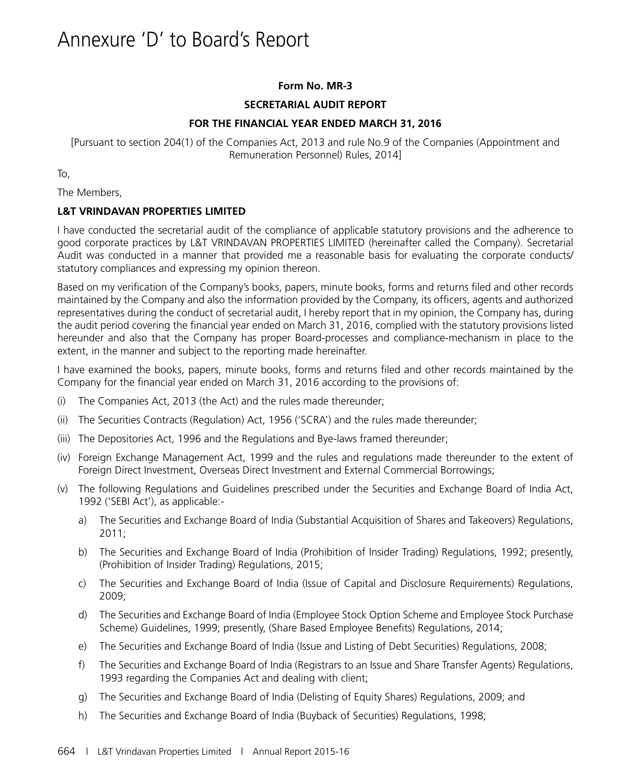#### **Form No. MR-3**

#### **SECRETARIAL AUDIT REPORT**

#### **FOR THE FINANCIAL YEAR ENDED MARCH 31, 2016**

[Pursuant to section 204(1) of the Companies Act, 2013 and rule No.9 of the Companies (Appointment and Remuneration Personnel) Rules, 2014]

To,

The Members,

#### **L&T VRINDAVAN PROPERTIES LIMITED**

I have conducted the secretarial audit of the compliance of applicable statutory provisions and the adherence to good corporate practices by L&T VRINDAVAN PROPERTIES LIMITED (hereinafter called the Company). Secretarial Audit was conducted in a manner that provided me a reasonable basis for evaluating the corporate conducts/ statutory compliances and expressing my opinion thereon.

Based on my verification of the Company's books, papers, minute books, forms and returns filed and other records maintained by the Company and also the information provided by the Company, its officers, agents and authorized representatives during the conduct of secretarial audit, I hereby report that in my opinion, the Company has, during the audit period covering the financial year ended on March 31, 2016, complied with the statutory provisions listed hereunder and also that the Company has proper Board-processes and compliance-mechanism in place to the extent, in the manner and subject to the reporting made hereinafter.

I have examined the books, papers, minute books, forms and returns filed and other records maintained by the Company for the financial year ended on March 31, 2016 according to the provisions of:

- (i) The Companies Act, 2013 (the Act) and the rules made thereunder;
- (ii) The Securities Contracts (Regulation) Act, 1956 ('SCRA') and the rules made thereunder;
- (iii) The Depositories Act, 1996 and the Regulations and Bye-laws framed thereunder;
- (iv) Foreign Exchange Management Act, 1999 and the rules and regulations made thereunder to the extent of Foreign Direct Investment, Overseas Direct Investment and External Commercial Borrowings;
- (v) The following Regulations and Guidelines prescribed under the Securities and Exchange Board of India Act, 1992 ('SEBI Act'), as applicable:
	- a) The Securities and Exchange Board of India (Substantial Acquisition of Shares and Takeovers) Regulations, 2011;
	- b) The Securities and Exchange Board of India (Prohibition of Insider Trading) Regulations, 1992; presently, (Prohibition of Insider Trading) Regulations, 2015;
	- c) The Securities and Exchange Board of India (Issue of Capital and Disclosure Requirements) Regulations, 2009;
	- d) The Securities and Exchange Board of India (Employee Stock Option Scheme and Employee Stock Purchase Scheme) Guidelines, 1999; presently, (Share Based Employee Benefits) Regulations, 2014;
	- e) The Securities and Exchange Board of India (Issue and Listing of Debt Securities) Regulations, 2008;
	- f) The Securities and Exchange Board of India (Registrars to an Issue and Share Transfer Agents) Regulations, 1993 regarding the Companies Act and dealing with client;
	- g) The Securities and Exchange Board of India (Delisting of Equity Shares) Regulations, 2009; and
	- h) The Securities and Exchange Board of India (Buyback of Securities) Regulations, 1998;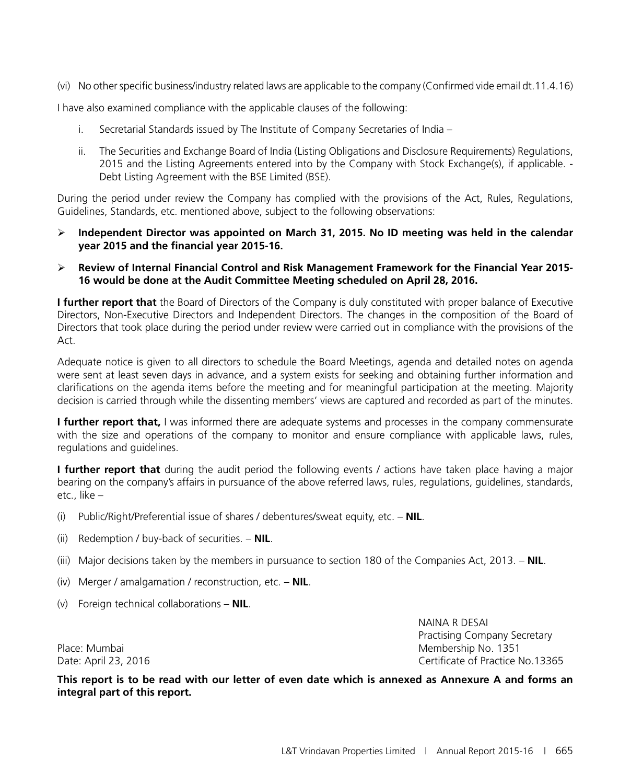(vi) No other specific business/industry related laws are applicable to the company (Confirmed vide email dt.11.4.16)

I have also examined compliance with the applicable clauses of the following:

- i. Secretarial Standards issued by The Institute of Company Secretaries of India –
- ii. The Securities and Exchange Board of India (Listing Obligations and Disclosure Requirements) Regulations, 2015 and the Listing Agreements entered into by the Company with Stock Exchange(s), if applicable. - Debt Listing Agreement with the BSE Limited (BSE).

During the period under review the Company has complied with the provisions of the Act, Rules, Regulations, Guidelines, Standards, etc. mentioned above, subject to the following observations:

- **Independent Director was appointed on March 31, 2015. No ID meeting was held in the calendar year 2015 and the financial year 2015-16.**
- **Review of Internal Financial Control and Risk Management Framework for the Financial Year 2015- 16 would be done at the Audit Committee Meeting scheduled on April 28, 2016.**

**I further report that** the Board of Directors of the Company is duly constituted with proper balance of Executive Directors, Non-Executive Directors and Independent Directors. The changes in the composition of the Board of Directors that took place during the period under review were carried out in compliance with the provisions of the Act.

Adequate notice is given to all directors to schedule the Board Meetings, agenda and detailed notes on agenda were sent at least seven days in advance, and a system exists for seeking and obtaining further information and clarifications on the agenda items before the meeting and for meaningful participation at the meeting. Majority decision is carried through while the dissenting members' views are captured and recorded as part of the minutes.

**I further report that,** I was informed there are adequate systems and processes in the company commensurate with the size and operations of the company to monitor and ensure compliance with applicable laws, rules, regulations and guidelines.

**I further report that** during the audit period the following events / actions have taken place having a major bearing on the company's affairs in pursuance of the above referred laws, rules, regulations, guidelines, standards, etc., like –

- (i) Public/Right/Preferential issue of shares / debentures/sweat equity, etc. **NIL**.
- (ii) Redemption / buy-back of securities. **NIL**.
- (iii) Major decisions taken by the members in pursuance to section 180 of the Companies Act, 2013. **NIL**.
- (iv) Merger / amalgamation / reconstruction, etc. **NIL**.
- (v) Foreign technical collaborations **NIL**.

NAINA R DESAI Practising Company Secretary Place: Mumbai Membership No. 1351 Date: April 23, 2016 Certificate of Practice No.13365

**This report is to be read with our letter of even date which is annexed as Annexure A and forms an integral part of this report.**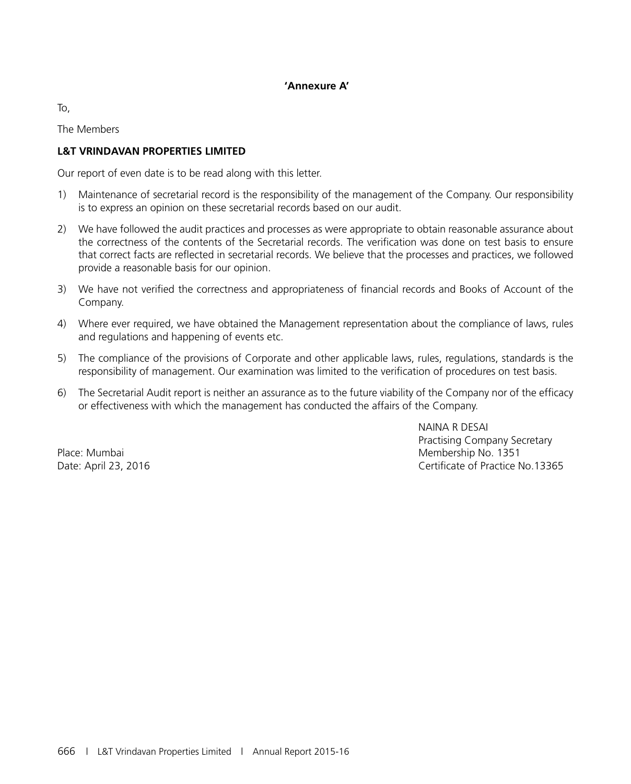#### **'Annexure A'**

To,

The Members

#### **L&T VRINDAVAN PROPERTIES LIMITED**

Our report of even date is to be read along with this letter.

- 1) Maintenance of secretarial record is the responsibility of the management of the Company. Our responsibility is to express an opinion on these secretarial records based on our audit.
- 2) We have followed the audit practices and processes as were appropriate to obtain reasonable assurance about the correctness of the contents of the Secretarial records. The verification was done on test basis to ensure that correct facts are reflected in secretarial records. We believe that the processes and practices, we followed provide a reasonable basis for our opinion.
- 3) We have not verified the correctness and appropriateness of financial records and Books of Account of the Company.
- 4) Where ever required, we have obtained the Management representation about the compliance of laws, rules and regulations and happening of events etc.
- 5) The compliance of the provisions of Corporate and other applicable laws, rules, regulations, standards is the responsibility of management. Our examination was limited to the verification of procedures on test basis.
- 6) The Secretarial Audit report is neither an assurance as to the future viability of the Company nor of the efficacy or effectiveness with which the management has conducted the affairs of the Company.

NAINA R DESAI Practising Company Secretary Place: Mumbai Membership No. 1351 Date: April 23, 2016 **Certificate of Practice No.13365**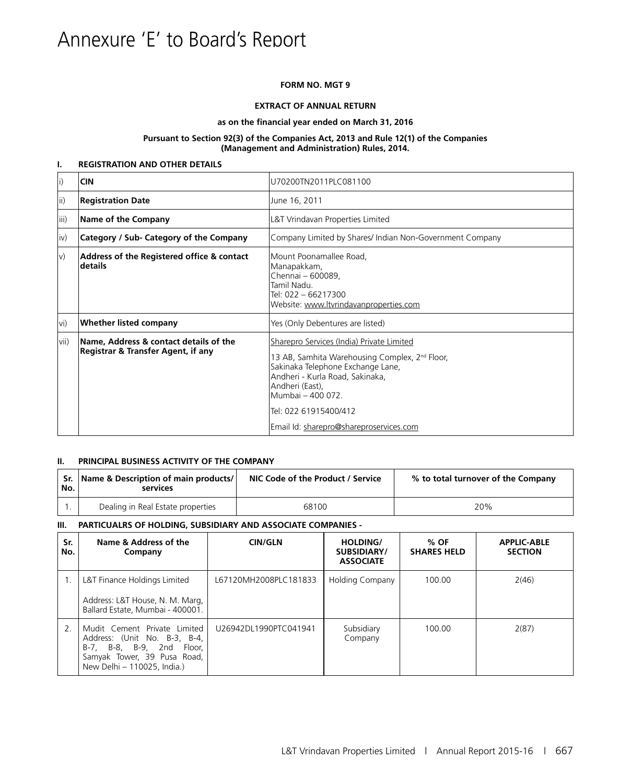# Annexure 'E' to Board's Report

#### **FORM NO. MGT 9**

#### **EXTRACT OF ANNUAL RETURN**

#### **as on the financial year ended on March 31, 2016**

#### **Pursuant to Section 92(3) of the Companies Act, 2013 and Rule 12(1) of the Companies (Management and Administration) Rules, 2014.**

#### **I. REGISTRATION AND OTHER DETAILS**

| $\vert i \rangle$ | <b>CIN</b>                                                                   | U70200TN2011PLC081100                                                                                                                                                                                                                            |
|-------------------|------------------------------------------------------------------------------|--------------------------------------------------------------------------------------------------------------------------------------------------------------------------------------------------------------------------------------------------|
| ii)               | <b>Registration Date</b>                                                     | June 16, 2011                                                                                                                                                                                                                                    |
| iii)              | Name of the Company                                                          | L&T Vrindavan Properties Limited                                                                                                                                                                                                                 |
| $ iv\rangle$      | Category / Sub- Category of the Company                                      | Company Limited by Shares/ Indian Non-Government Company                                                                                                                                                                                         |
| $ v\rangle$       | Address of the Registered office & contact<br>details                        | Mount Poonamallee Road,<br>Manapakkam,<br>Chennai - 600089,<br>Tamil Nadu.<br>Tel: 022 - 66217300<br>Website: www.ltvrindavanproperties.com                                                                                                      |
| lvi)              | <b>Whether listed company</b>                                                | Yes (Only Debentures are listed)                                                                                                                                                                                                                 |
| vii)              | Name, Address & contact details of the<br>Registrar & Transfer Agent, if any | Sharepro Services (India) Private Limited<br>13 AB, Samhita Warehousing Complex, 2 <sup>nd</sup> Floor,<br>Sakinaka Telephone Exchange Lane,<br>Andheri - Kurla Road, Sakinaka,<br>Andheri (East),<br>Mumbai - 400 072.<br>Tel: 022 61915400/412 |
|                   |                                                                              | Email Id: sharepro@shareproservices.com                                                                                                                                                                                                          |

#### **II. PRINCIPAL BUSINESS ACTIVITY OF THE COMPANY**

| No. | Sr. Name & Description of main products/<br>services | NIC Code of the Product / Service | % to total turnover of the Company |
|-----|------------------------------------------------------|-----------------------------------|------------------------------------|
|     | Dealing in Real Estate properties                    | 68100                             | 20%                                |

#### **III. PARTICUALRS OF HOLDING, SUBSIDIARY AND ASSOCIATE COMPANIES -**

| Sr.<br>No. | Name & Address of the<br>Company                                                                                                                        | <b>CIN/GLN</b>        | HOLDING/<br>SUBSIDIARY/<br><b>ASSOCIATE</b> | $%$ OF<br><b>SHARES HELD</b> | <b>APPLIC-ABLE</b><br><b>SECTION</b> |
|------------|---------------------------------------------------------------------------------------------------------------------------------------------------------|-----------------------|---------------------------------------------|------------------------------|--------------------------------------|
|            | L&T Finance Holdings Limited<br>Address: L&T House, N. M. Marg,<br>Ballard Estate, Mumbai - 400001.                                                     | L67120MH2008PLC181833 | Holding Company                             | 100.00                       | 2(46)                                |
|            | Mudit Cement Private Limited<br>Address: (Unit No. B-3, B-4,<br>B-7, B-8, B-9, 2nd Floor,<br>Samyak Tower, 39 Pusa Road,<br>New Delhi - 110025, India.) | U26942DL1990PTC041941 | Subsidiary<br>Company                       | 100.00                       | 2(87)                                |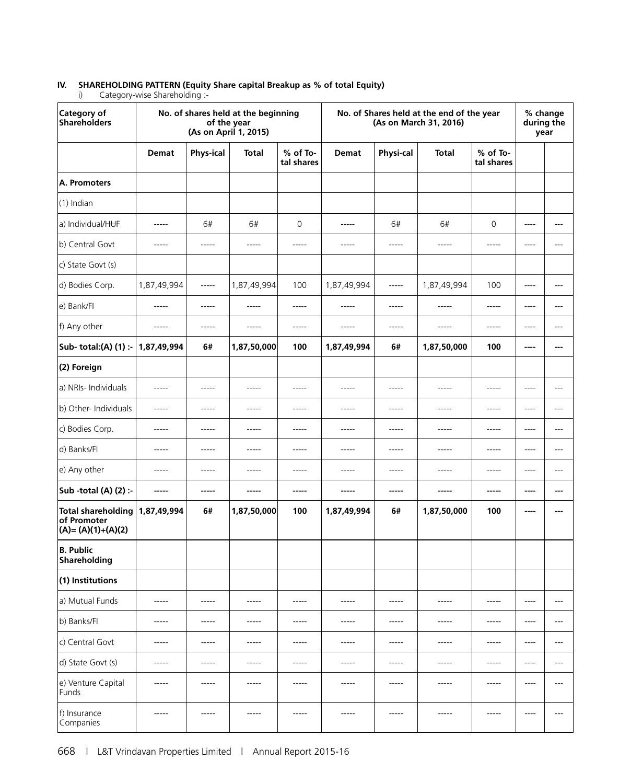# **IV. SHAREHOLDING PATTERN (Equity Share capital Breakup as % of total Equity)**<br>i) Category-wise Shareholding :-

| -: Category-wise Shareholding |  |
|-------------------------------|--|
|                               |  |

| Category of<br>Shareholders                                       |              | of the year<br>(As on April 1, 2015) | No. of shares held at the beginning |                        |              |             | No. of Shares held at the end of the year<br>(As on March 31, 2016) |                          | % change<br>during the<br>year |       |
|-------------------------------------------------------------------|--------------|--------------------------------------|-------------------------------------|------------------------|--------------|-------------|---------------------------------------------------------------------|--------------------------|--------------------------------|-------|
|                                                                   | <b>Demat</b> | <b>Phys-ical</b>                     | <b>Total</b>                        | % of To-<br>tal shares | <b>Demat</b> | Physi-cal   | <b>Total</b>                                                        | $%$ of To-<br>tal shares |                                |       |
| A. Promoters                                                      |              |                                      |                                     |                        |              |             |                                                                     |                          |                                |       |
| (1) Indian                                                        |              |                                      |                                     |                        |              |             |                                                                     |                          |                                |       |
| a) Individual/HUF                                                 | -----        | 6#                                   | 6#                                  | $\mathsf{O}\xspace$    | $- - - - -$  | 6#          | 6#                                                                  | $\mathsf{O}\xspace$      | $\cdots$                       | $---$ |
| b) Central Govt                                                   | -----        | -----                                | $-----$                             | -----                  | -----        | -----       | -----                                                               | -----                    | $-----$                        | ---   |
| c) State Govt (s)                                                 |              |                                      |                                     |                        |              |             |                                                                     |                          |                                |       |
| d) Bodies Corp.                                                   | 1,87,49,994  | $-----1$                             | 1,87,49,994                         | 100                    | 1,87,49,994  | $-----$     | 1,87,49,994                                                         | 100                      | $---$                          | ---   |
| e) Bank/Fl                                                        | $- - - - -$  | $--- - - -$                          | $- - - - -$                         | -----                  | $- - - - -$  | $- - - - -$ | $- - - - -$                                                         | -----                    | $---$                          | ---   |
| f) Any other                                                      | $\cdots$     | $--- - - -$                          | $- - - - -$                         | -----                  | $- - - - -$  | $- - - - -$ | $- - - - -$                                                         | $- - - - -$              | $---$                          | $---$ |
| Sub- total:(A) (1) :-                                             | 1,87,49,994  | 6#                                   | 1,87,50,000                         | 100                    | 1,87,49,994  | 6#          | 1,87,50,000                                                         | 100                      | ----                           | ---   |
| (2) Foreign                                                       |              |                                      |                                     |                        |              |             |                                                                     |                          |                                |       |
| a) NRIs- Individuals                                              | -----        | -----                                | -----                               | -----                  | -----        | -----       | -----                                                               | -----                    | ----                           | ---   |
| b) Other- Individuals                                             | -----        | -----                                | -----                               | -----                  | -----        | -----       | -----                                                               | -----                    | ----                           | ---   |
| c) Bodies Corp.                                                   | -----        | -----                                | -----                               | -----                  | -----        | -----       | -----                                                               | -----                    | $-----$                        | ---   |
| d) Banks/Fl                                                       | -----        | $- - - - -$                          | $- - - - -$                         | -----                  | $- - - - -$  | -----       | $- - - - -$                                                         | -----                    | $\cdots$                       | $---$ |
| e) Any other                                                      | $- - - - -$  | $- - - - -$                          | $- - - - -$                         | $--- - -$              | $- - - - -$  | $- - - - -$ | $- - - - -$                                                         | -----                    | $---$                          | $---$ |
| Sub -total (A) (2) :-                                             | -----        | -----                                | -----                               | -----                  | -----        | -----       | -----                                                               | -----                    | ----                           | ---   |
| <b>Total shareholding</b><br>of Promoter<br>$(A) = (A)(1)+(A)(2)$ | 1,87,49,994  | 6#                                   | 1,87,50,000                         | 100                    | 1,87,49,994  | 6#          | 1,87,50,000                                                         | 100                      | ----                           |       |
| <b>B. Public</b><br>Shareholding                                  |              |                                      |                                     |                        |              |             |                                                                     |                          |                                |       |
| (1) Institutions                                                  |              |                                      |                                     |                        |              |             |                                                                     |                          |                                |       |
| a) Mutual Funds                                                   | -----        | -----                                | -----                               | -----                  | -----        | -----       | -----                                                               | -----                    | $---$                          | ---   |
| b) Banks/FI                                                       | -----        | $--- -$                              | $- - - - -$                         | -----                  | $- - - - -$  | -----       | $- - - - -$                                                         | -----                    | $---$                          | $---$ |
| c) Central Govt                                                   | $- - - - -$  | $- - - - -$                          | $- - - - -$                         | $- - - - -$            | $- - - - -$  | $- - - - -$ | $- - - - -$                                                         | $- - - - -$              | $---$                          | $---$ |
| d) State Govt (s)                                                 | -----        | $- - - - -$                          | $- - - - -$                         | $- - - - -$            | $- - - - -$  | $------$    | $- - - - -$                                                         | -----                    | $---$                          | $---$ |
| e) Venture Capital<br>Funds                                       | -----        | -----                                | $--- -$                             | -----                  | -----        | -----       | -----                                                               | -----                    | $---$                          | ---   |
| f) Insurance<br>Companies                                         | -----        | -----                                | $--- -$                             | -----                  | $- - - - -$  | -----       | $- - - - -$                                                         | -----                    | $---$                          | $---$ |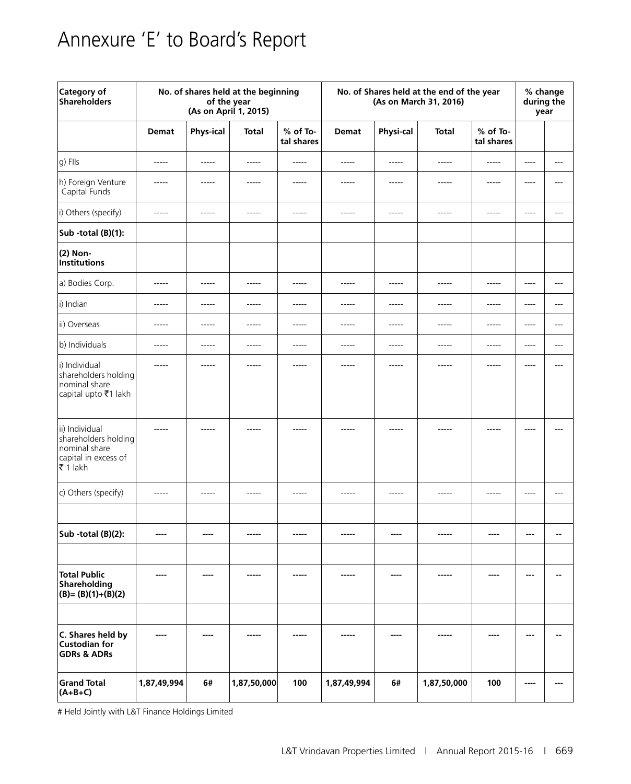# Annexure 'E' to Board's Report

| Category of<br><b>Shareholders</b>                                                           | No. of shares held at the beginning<br>of the year<br>(As on April 1, 2015) |                  |              | No. of Shares held at the end of the year<br>(As on March 31, 2016) |              |             |              | % change<br>during the<br>year |           |       |
|----------------------------------------------------------------------------------------------|-----------------------------------------------------------------------------|------------------|--------------|---------------------------------------------------------------------|--------------|-------------|--------------|--------------------------------|-----------|-------|
|                                                                                              | <b>Demat</b>                                                                | <b>Phys-ical</b> | <b>Total</b> | % of To-<br>tal shares                                              | <b>Demat</b> | Physi-cal   | <b>Total</b> | % of To-<br>tal shares         |           |       |
| g) Flls                                                                                      | $- - - - -$                                                                 | $- - - - -$      | $- - - - -$  | -----                                                               | $- - - - -$  | $- - - - -$ | $- - - - -$  | $-----1$                       | $---$     | $---$ |
| h) Foreign Venture<br>Capital Funds                                                          | $-----$                                                                     | -----            | -----        | -----                                                               | -----        | -----       | $-----$      | $- - - - -$                    | ----      | ---   |
| i) Others (specify)                                                                          | $- - - - -$                                                                 | $-----1$         | $-----$      | -----                                                               | -----        | $- - - - -$ | -----        | $- - - - -$                    | $-----$   | $---$ |
| Sub -total (B)(1):                                                                           |                                                                             |                  |              |                                                                     |              |             |              |                                |           |       |
| (2) Non-<br>Institutions                                                                     |                                                                             |                  |              |                                                                     |              |             |              |                                |           |       |
| a) Bodies Corp.                                                                              | $- - - - -$                                                                 | $- - - - -$      | $- - - - -$  | $- - - - -$                                                         | $- - - - -$  | $- - - - -$ | $- - - - -$  | $--- -$                        | ----      | $---$ |
| i) Indian                                                                                    | $- - - - -$                                                                 | $- - - - -$      | $- - - - -$  | -----                                                               | -----        | -----       | $- - - - -$  | $- - - - -$                    | $- - - -$ | $---$ |
| ii) Overseas                                                                                 | $- - - - -$                                                                 | $- - - - -$      | $- - - - -$  | $--- - -$                                                           | $- - - - -$  | $- - - - -$ | $- - - - -$  | $- - - - -$                    | $- - - -$ | $---$ |
| b) Individuals                                                                               | -----                                                                       | $- - - - -$      | -----        | -----                                                               | -----        | -----       | -----        | $- - - - -$                    | $---$     | $---$ |
| i) Individual<br>shareholders holding<br>nominal share<br>capital upto ₹1 lakh               | -----                                                                       | -----            | -----        | -----                                                               | -----        | -----       | -----        | -----                          | ----      | $---$ |
| ii) Individual<br>shareholders holding<br>nominal share<br>capital in excess of<br>l₹ 1 lakh | -----                                                                       | -----            | -----        |                                                                     |              | -----       | -----        | -----                          | $---$     |       |
| c) Others (specify)                                                                          | $- - - - -$                                                                 | $- - - - -$      | $- - - - -$  | $- - - - -$                                                         | -----        | -----       | -----        | $- - - - -$                    | $---$     | $---$ |
|                                                                                              |                                                                             |                  |              |                                                                     |              |             |              |                                |           |       |
| Sub -total (B)(2):                                                                           | ----                                                                        | ----             | -----        | -----                                                               | -----        | ----        | -----        | ----                           | ---       | --    |
|                                                                                              |                                                                             |                  |              |                                                                     |              |             |              |                                |           |       |
| <b>Total Public</b><br>Shareholding<br>$(B)=(B)(1)+(B)(2)$                                   | $---$                                                                       | ----             | -----        | -----                                                               | -----        | ----        | -----        | ----                           | ---       | $-$   |
|                                                                                              |                                                                             |                  |              |                                                                     |              |             |              |                                |           |       |
| C. Shares held by<br><b>Custodian for</b><br><b>GDRs &amp; ADRs</b>                          | ----                                                                        |                  |              |                                                                     |              |             |              |                                | ---       |       |
| <b>Grand Total</b><br>$(A+B+C)$                                                              | 1,87,49,994                                                                 | 6#               | 1,87,50,000  | 100                                                                 | 1,87,49,994  | 6#          | 1,87,50,000  | 100                            | ----      | ---   |

# Held Jointly with L&T Finance Holdings Limited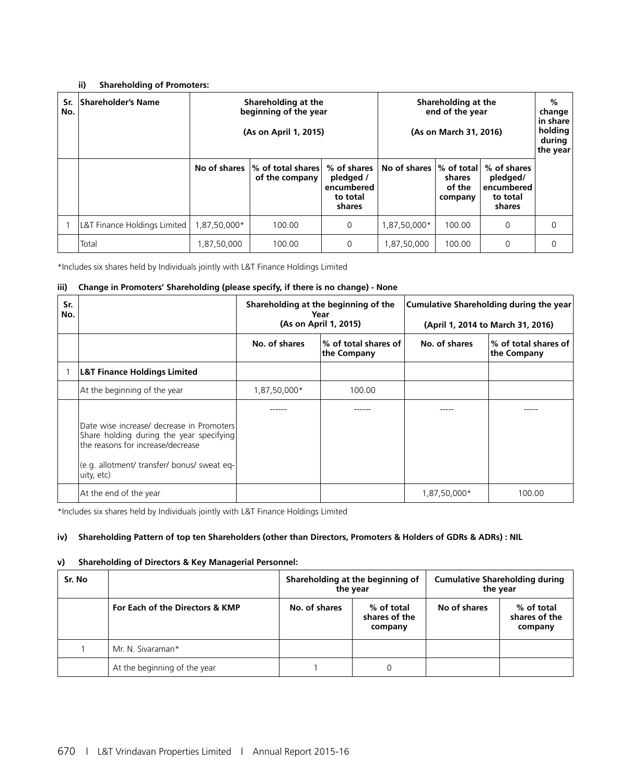#### **ii) Shareholding of Promoters:**

| Sr.<br>No. | <b>Shareholder's Name</b>    |              | Shareholding at the<br>beginning of the year<br>(As on April 1, 2015) |                                                              | Shareholding at the<br>end of the year<br>(As on March 31, 2016) |                                                       |                                                             | %<br>change<br>in share<br>holding<br>during<br>the year |
|------------|------------------------------|--------------|-----------------------------------------------------------------------|--------------------------------------------------------------|------------------------------------------------------------------|-------------------------------------------------------|-------------------------------------------------------------|----------------------------------------------------------|
|            |                              | No of shares | │% of total shares<br>of the company                                  | % of shares<br>pledged /<br>encumbered<br>to total<br>shares | No of shares                                                     | $\frac{1}{6}$ of total<br>shares<br>of the<br>company | % of shares<br>pledged/<br>encumbered<br>to total<br>shares |                                                          |
|            | L&T Finance Holdings Limited | 1,87,50,000* | 100.00                                                                | 0                                                            | 1,87,50,000*                                                     | 100.00                                                | 0                                                           | 0                                                        |
|            | Total                        | ,87,50,000   | 100.00                                                                | 0                                                            | 1,87,50,000                                                      | 100.00                                                | $\Omega$                                                    | $\Omega$                                                 |

\*Includes six shares held by Individuals jointly with L&T Finance Holdings Limited

#### **iii) Change in Promoters' Shareholding (please specify, if there is no change) - None**

| Sr.<br>No. |                                                                                                                                                                                         | Shareholding at the beginning of the<br>Year<br>(As on April 1, 2015) |                                     | <b>Cumulative Shareholding during the year</b><br>(April 1, 2014 to March 31, 2016) |                                                |  |
|------------|-----------------------------------------------------------------------------------------------------------------------------------------------------------------------------------------|-----------------------------------------------------------------------|-------------------------------------|-------------------------------------------------------------------------------------|------------------------------------------------|--|
|            |                                                                                                                                                                                         | No. of shares                                                         | % of total shares of<br>the Company | No. of shares                                                                       | $\mathcal V$ of total shares of<br>the Company |  |
|            | L&T Finance Holdings Limited                                                                                                                                                            |                                                                       |                                     |                                                                                     |                                                |  |
|            | At the beginning of the year                                                                                                                                                            | 1,87,50,000*                                                          | 100.00                              |                                                                                     |                                                |  |
|            |                                                                                                                                                                                         |                                                                       |                                     |                                                                                     |                                                |  |
|            | Date wise increase/ decrease in Promoters<br>Share holding during the year specifying<br>the reasons for increase/decrease<br>(e.g. allotment/ transfer/ bonus/ sweat eq-<br>uity, etc) |                                                                       |                                     |                                                                                     |                                                |  |
|            | At the end of the year                                                                                                                                                                  |                                                                       |                                     | 1,87,50,000*                                                                        | 100.00                                         |  |

\*Includes six shares held by Individuals jointly with L&T Finance Holdings Limited

#### **iv) Shareholding Pattern of top ten Shareholders (other than Directors, Promoters & Holders of GDRs & ADRs) : NIL**

#### **v) Shareholding of Directors & Key Managerial Personnel:**

| Sr. No |                                 | Shareholding at the beginning of<br>the year |                                        | <b>Cumulative Shareholding during</b><br>the year |                                        |
|--------|---------------------------------|----------------------------------------------|----------------------------------------|---------------------------------------------------|----------------------------------------|
|        | For Each of the Directors & KMP | No. of shares                                | % of total<br>shares of the<br>company | No of shares                                      | % of total<br>shares of the<br>company |
|        | Mr. N. Sivaraman*               |                                              |                                        |                                                   |                                        |
|        | At the beginning of the year    |                                              | 0                                      |                                                   |                                        |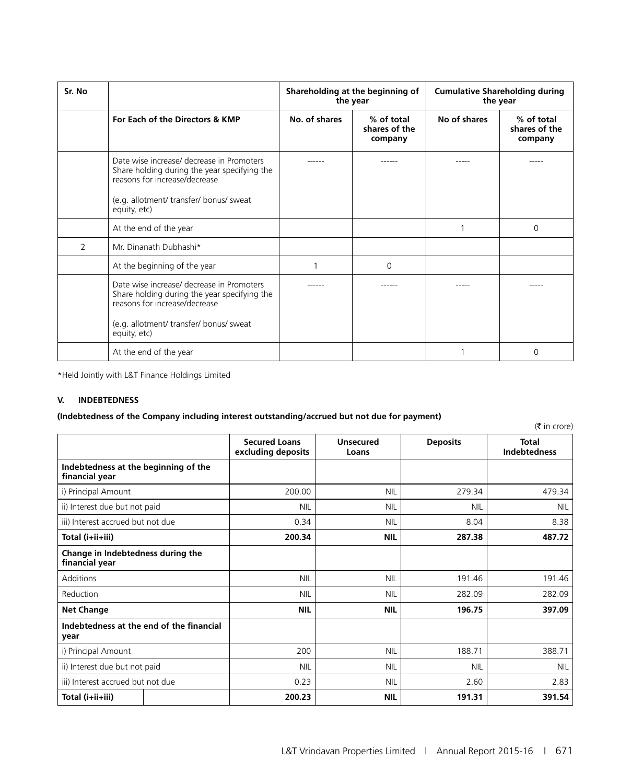| Sr. No |                                                                                                                                                                                       |               | Shareholding at the beginning of<br>the year | <b>Cumulative Shareholding during</b><br>the year |                                        |  |
|--------|---------------------------------------------------------------------------------------------------------------------------------------------------------------------------------------|---------------|----------------------------------------------|---------------------------------------------------|----------------------------------------|--|
|        | For Each of the Directors & KMP                                                                                                                                                       | No. of shares | % of total<br>shares of the<br>company       | No of shares                                      | % of total<br>shares of the<br>company |  |
|        | Date wise increase/ decrease in Promoters<br>Share holding during the year specifying the<br>reasons for increase/decrease<br>(e.g. allotment/ transfer/ bonus/ sweat<br>equity, etc) |               |                                              |                                                   |                                        |  |
|        | At the end of the year                                                                                                                                                                |               |                                              |                                                   | 0                                      |  |
| 2      | Mr. Dinanath Dubhashi*                                                                                                                                                                |               |                                              |                                                   |                                        |  |
|        | At the beginning of the year                                                                                                                                                          |               | 0                                            |                                                   |                                        |  |
|        | Date wise increase/ decrease in Promoters<br>Share holding during the year specifying the<br>reasons for increase/decrease<br>(e.g. allotment/ transfer/ bonus/ sweat<br>equity, etc) |               |                                              |                                                   |                                        |  |
|        | At the end of the year                                                                                                                                                                |               |                                              |                                                   | $\Omega$                               |  |

\*Held Jointly with L&T Finance Holdings Limited

#### **V. INDEBTEDNESS**

#### **(Indebtedness of the Company including interest outstanding/accrued but not due for payment)**

|                                                        |                                            |                           |                 | $(\bar{\bar{\mathbf{z}}}$ in crore) |
|--------------------------------------------------------|--------------------------------------------|---------------------------|-----------------|-------------------------------------|
|                                                        | <b>Secured Loans</b><br>excluding deposits | <b>Unsecured</b><br>Loans | <b>Deposits</b> | <b>Total</b><br><b>Indebtedness</b> |
| Indebtedness at the beginning of the<br>financial year |                                            |                           |                 |                                     |
| i) Principal Amount                                    | 200.00                                     | <b>NIL</b>                | 279.34          | 479.34                              |
| ii) Interest due but not paid                          | <b>NIL</b>                                 | <b>NIL</b>                | <b>NIL</b>      | <b>NIL</b>                          |
| iii) Interest accrued but not due                      | 0.34                                       | <b>NIL</b>                | 8.04            | 8.38                                |
| Total (i+ii+iii)                                       | 200.34                                     | <b>NIL</b>                | 287.38          | 487.72                              |
| Change in Indebtedness during the<br>financial year    |                                            |                           |                 |                                     |
| Additions                                              | <b>NIL</b>                                 | <b>NIL</b>                | 191.46          | 191.46                              |
| Reduction                                              | <b>NIL</b>                                 | <b>NIL</b>                | 282.09          | 282.09                              |
| <b>Net Change</b>                                      | <b>NIL</b>                                 | <b>NIL</b>                | 196.75          | 397.09                              |
| Indebtedness at the end of the financial<br>year       |                                            |                           |                 |                                     |
| i) Principal Amount                                    | 200                                        | <b>NIL</b>                | 188.71          | 388.71                              |
| ii) Interest due but not paid                          | <b>NIL</b>                                 | <b>NIL</b>                | <b>NIL</b>      | <b>NIL</b>                          |
| iii) Interest accrued but not due                      | 0.23                                       | <b>NIL</b>                | 2.60            | 2.83                                |
| Total (i+ii+iii)                                       | 200.23                                     | <b>NIL</b>                | 191.31          | 391.54                              |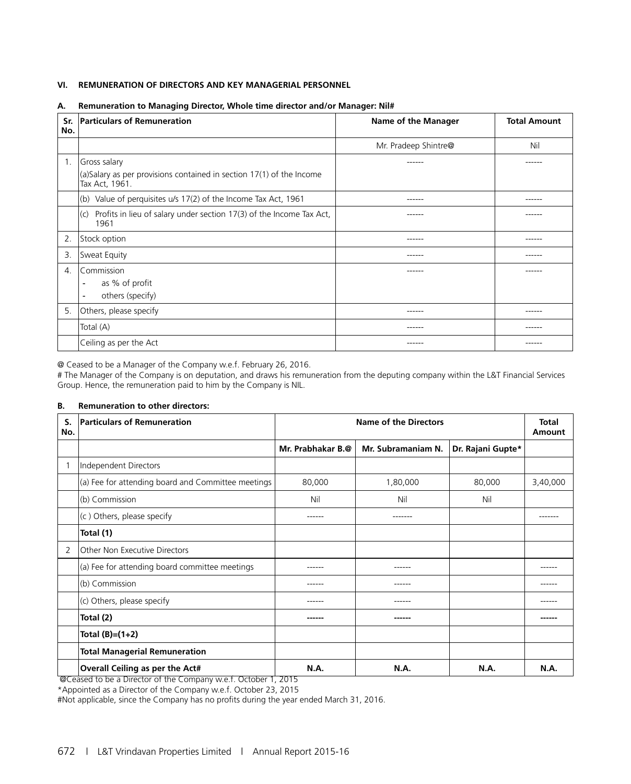#### **VI. REMUNERATION OF DIRECTORS AND KEY MANAGERIAL PERSONNEL**

| Sr.<br>No. | <b>Particulars of Remuneration</b>                                                                         | Name of the Manager  | <b>Total Amount</b> |
|------------|------------------------------------------------------------------------------------------------------------|----------------------|---------------------|
|            |                                                                                                            | Mr. Pradeep Shintre@ | Nil                 |
| 1.         | Gross salary<br>$(a)$ Salary as per provisions contained in section 17(1) of the Income<br>Tax Act, 1961.  | ------               | ------              |
|            | (b) Value of perquisites $u/s$ 17(2) of the Income Tax Act, 1961                                           | ------               | ------              |
|            | $ c\rangle$ Profits in lieu of salary under section 17(3) of the Income Tax Act,<br>1961                   | ------               | ------              |
| 2.         | Stock option                                                                                               | ------               | ------              |
| 3.         | Sweat Equity                                                                                               | -----                |                     |
| 4.         | l Commission<br>as % of profit<br>$\overline{\phantom{a}}$<br>others (specify)<br>$\overline{\phantom{a}}$ | -----                |                     |
| 5.         | Others, please specify                                                                                     | ------               | ------              |
|            | Total (A)                                                                                                  | ------               | ------              |
|            | Ceiling as per the Act                                                                                     | -----                |                     |

#### **A. Remuneration to Managing Director, Whole time director and/or Manager: Nil#**

@ Ceased to be a Manager of the Company w.e.f. February 26, 2016.

# The Manager of the Company is on deputation, and draws his remuneration from the deputing company within the L&T Financial Services Group. Hence, the remuneration paid to him by the Company is NIL.

#### **B. Remuneration to other directors:**

| S.<br>No. | <b>Particulars of Remuneration</b>                 |                   | <b>Name of the Directors</b> |                   | <b>Total</b><br>Amount |
|-----------|----------------------------------------------------|-------------------|------------------------------|-------------------|------------------------|
|           |                                                    | Mr. Prabhakar B.@ | Mr. Subramaniam N.           | Dr. Rajani Gupte* |                        |
|           | Independent Directors                              |                   |                              |                   |                        |
|           | (a) Fee for attending board and Committee meetings | 80,000            | 1,80,000                     | 80,000            | 3,40,000               |
|           | (b) Commission                                     | Nil               | Nil                          | Nil               |                        |
|           | (c) Others, please specify                         |                   | ------                       |                   | ------                 |
|           | Total (1)                                          |                   |                              |                   |                        |
| 2         | Other Non Executive Directors                      |                   |                              |                   |                        |
|           | (a) Fee for attending board committee meetings     |                   |                              |                   |                        |
|           | (b) Commission                                     |                   |                              |                   |                        |
|           | (c) Others, please specify                         |                   |                              |                   |                        |
|           | Total (2)                                          | -----             | ------                       |                   |                        |
|           | Total (B)=(1+2)                                    |                   |                              |                   |                        |
|           | <b>Total Managerial Remuneration</b>               |                   |                              |                   |                        |
|           | Overall Ceiling as per the Act#                    | N.A.              | N.A.                         | N.A.              | <b>N.A.</b>            |

@Ceased to be a Director of the Company w.e.f. October 1, 2015

\*Appointed as a Director of the Company w.e.f. October 23, 2015 #Not applicable, since the Company has no profits during the year ended March 31, 2016.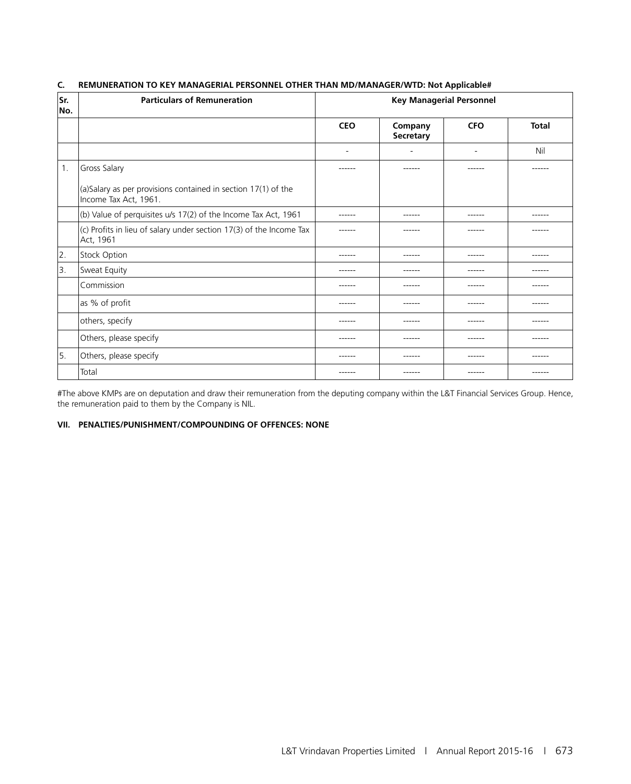| Sr.<br>No. | <b>Particulars of Remuneration</b>                                                     |                          | <b>Key Managerial Personnel</b> |                          |              |
|------------|----------------------------------------------------------------------------------------|--------------------------|---------------------------------|--------------------------|--------------|
|            |                                                                                        | <b>CEO</b>               | Company<br>Secretary            | <b>CFO</b>               | <b>Total</b> |
|            |                                                                                        | $\overline{\phantom{a}}$ | ۰                               | $\overline{\phantom{a}}$ | Nil          |
| 1.         | <b>Gross Salary</b>                                                                    | ------                   | ------                          | ------                   |              |
|            | (a)Salary as per provisions contained in section 17(1) of the<br>Income Tax Act, 1961. |                          |                                 |                          |              |
|            | (b) Value of perquisites u/s 17(2) of the Income Tax Act, 1961                         | ------                   | ------                          | ------                   | ------       |
|            | (c) Profits in lieu of salary under section 17(3) of the Income Tax<br>Act, 1961       | ------                   | ------                          | ------                   | ------       |
| 2.         | Stock Option                                                                           | ------                   | ------                          | ------                   | ------       |
| 3.         | Sweat Equity                                                                           | ------                   | ------                          | ------                   | ------       |
|            | Commission                                                                             | ------                   | ------                          | ------                   | ------       |
|            | as % of profit                                                                         | ------                   | ------                          | ------                   | ------       |
|            | others, specify                                                                        | -------                  | ------                          | ------                   | ------       |
|            | Others, please specify                                                                 | ------                   | ------                          | ------                   | ------       |
| 5.         | Others, please specify                                                                 | ------                   | ------                          | ------                   | ------       |
|            | Total                                                                                  |                          |                                 | ------                   |              |

#### **C. REMUNERATION TO KEY MANAGERIAL PERSONNEL OTHER THAN MD/MANAGER/WTD: Not Applicable#**

#The above KMPs are on deputation and draw their remuneration from the deputing company within the L&T Financial Services Group. Hence, the remuneration paid to them by the Company is NIL.

#### **VII. PENALTIES/PUNISHMENT/COMPOUNDING OF OFFENCES: NONE**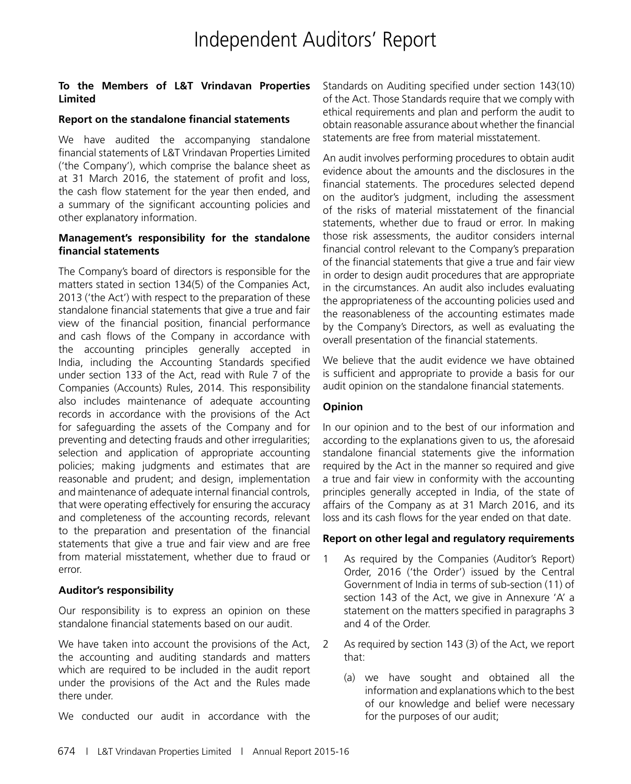#### **To the Members of L&T Vrindavan Properties Limited**

#### **Report on the standalone financial statements**

We have audited the accompanying standalone financial statements of L&T Vrindavan Properties Limited ('the Company'), which comprise the balance sheet as at 31 March 2016, the statement of profit and loss, the cash flow statement for the year then ended, and a summary of the significant accounting policies and other explanatory information.

#### **Management's responsibility for the standalone financial statements**

The Company's board of directors is responsible for the matters stated in section 134(5) of the Companies Act, 2013 ('the Act') with respect to the preparation of these standalone financial statements that give a true and fair view of the financial position, financial performance and cash flows of the Company in accordance with the accounting principles generally accepted in India, including the Accounting Standards specified under section 133 of the Act, read with Rule 7 of the Companies (Accounts) Rules, 2014. This responsibility also includes maintenance of adequate accounting records in accordance with the provisions of the Act for safeguarding the assets of the Company and for preventing and detecting frauds and other irregularities; selection and application of appropriate accounting policies; making judgments and estimates that are reasonable and prudent; and design, implementation and maintenance of adequate internal financial controls, that were operating effectively for ensuring the accuracy and completeness of the accounting records, relevant to the preparation and presentation of the financial statements that give a true and fair view and are free from material misstatement, whether due to fraud or error.

#### **Auditor's responsibility**

Our responsibility is to express an opinion on these standalone financial statements based on our audit.

We have taken into account the provisions of the Act, the accounting and auditing standards and matters which are required to be included in the audit report under the provisions of the Act and the Rules made there under.

We conducted our audit in accordance with the

Standards on Auditing specified under section 143(10) of the Act. Those Standards require that we comply with ethical requirements and plan and perform the audit to obtain reasonable assurance about whether the financial statements are free from material misstatement.

An audit involves performing procedures to obtain audit evidence about the amounts and the disclosures in the financial statements. The procedures selected depend on the auditor's judgment, including the assessment of the risks of material misstatement of the financial statements, whether due to fraud or error. In making those risk assessments, the auditor considers internal financial control relevant to the Company's preparation of the financial statements that give a true and fair view in order to design audit procedures that are appropriate in the circumstances. An audit also includes evaluating the appropriateness of the accounting policies used and the reasonableness of the accounting estimates made by the Company's Directors, as well as evaluating the overall presentation of the financial statements.

We believe that the audit evidence we have obtained is sufficient and appropriate to provide a basis for our audit opinion on the standalone financial statements.

#### **Opinion**

In our opinion and to the best of our information and according to the explanations given to us, the aforesaid standalone financial statements give the information required by the Act in the manner so required and give a true and fair view in conformity with the accounting principles generally accepted in India, of the state of affairs of the Company as at 31 March 2016, and its loss and its cash flows for the year ended on that date.

#### **Report on other legal and regulatory requirements**

- 1 As required by the Companies (Auditor's Report) Order, 2016 ('the Order') issued by the Central Government of India in terms of sub-section (11) of section 143 of the Act, we give in Annexure 'A' a statement on the matters specified in paragraphs 3 and 4 of the Order.
- 2 As required by section 143 (3) of the Act, we report that:
	- (a) we have sought and obtained all the information and explanations which to the best of our knowledge and belief were necessary for the purposes of our audit;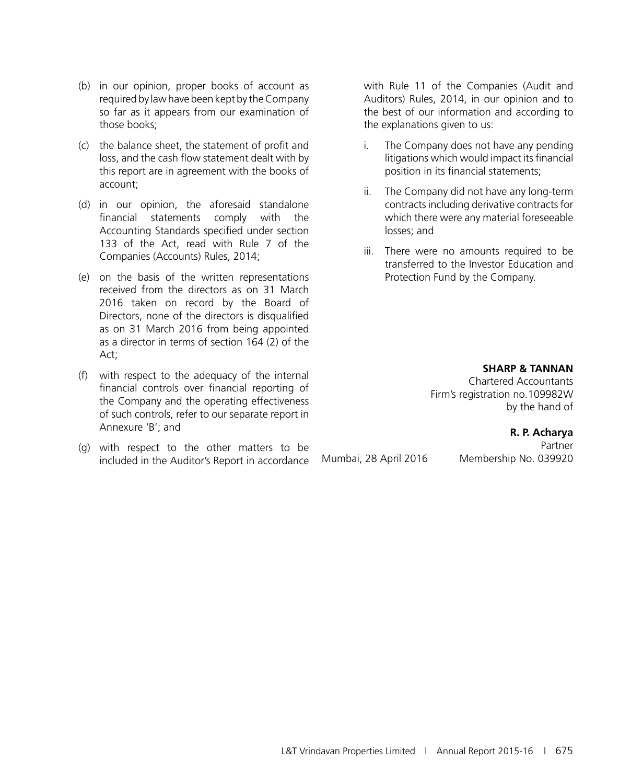- (b) in our opinion, proper books of account as required by law have been kept by the Company so far as it appears from our examination of those books;
- (c) the balance sheet, the statement of profit and loss, and the cash flow statement dealt with by this report are in agreement with the books of account;
- (d) in our opinion, the aforesaid standalone financial statements comply with the Accounting Standards specified under section 133 of the Act, read with Rule 7 of the Companies (Accounts) Rules, 2014;
- (e) on the basis of the written representations received from the directors as on 31 March 2016 taken on record by the Board of Directors, none of the directors is disqualified as on 31 March 2016 from being appointed as a director in terms of section 164 (2) of the Act;
- (f) with respect to the adequacy of the internal financial controls over financial reporting of the Company and the operating effectiveness of such controls, refer to our separate report in Annexure 'B'; and
- (g) with respect to the other matters to be included in the Auditor's Report in accordance

with Rule 11 of the Companies (Audit and Auditors) Rules, 2014, in our opinion and to the best of our information and according to the explanations given to us:

- i. The Company does not have any pending litigations which would impact its financial position in its financial statements;
- ii. The Company did not have any long-term contracts including derivative contracts for which there were any material foreseeable losses; and
- iii. There were no amounts required to be transferred to the Investor Education and Protection Fund by the Company.

**SHARP & TANNAN** Chartered Accountants Firm's registration no.109982W by the hand of

**R. P. Acharya**

Partner Mumbai, 28 April 2016 Membership No. 039920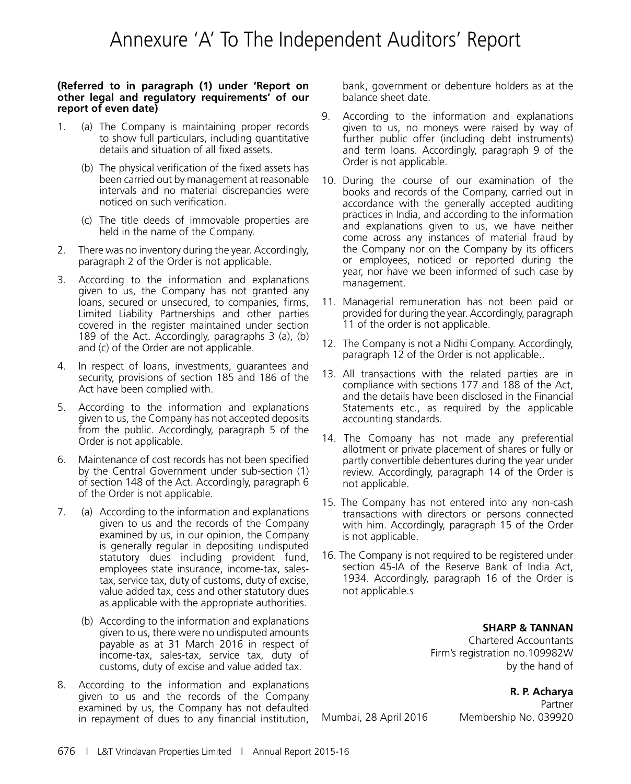# Annexure 'A' To The Independent Auditors' Report

#### **(Referred to in paragraph (1) under 'Report on other legal and regulatory requirements' of our report of even date)**

- 1. (a) The Company is maintaining proper records to show full particulars, including quantitative details and situation of all fixed assets.
	- (b) The physical verification of the fixed assets has been carried out by management at reasonable intervals and no material discrepancies were noticed on such verification.
	- (c) The title deeds of immovable properties are held in the name of the Company.
- 2. There was no inventory during the year. Accordingly, paragraph 2 of the Order is not applicable.
- 3. According to the information and explanations given to us, the Company has not granted any loans, secured or unsecured, to companies, firms, Limited Liability Partnerships and other parties covered in the register maintained under section 189 of the Act. Accordingly, paragraphs 3 (a), (b) and (c) of the Order are not applicable.
- 4. In respect of loans, investments, guarantees and security, provisions of section 185 and 186 of the Act have been complied with.
- 5. According to the information and explanations given to us, the Company has not accepted deposits from the public. Accordingly, paragraph 5 of the Order is not applicable.
- 6. Maintenance of cost records has not been specified by the Central Government under sub-section (1) of section 148 of the Act. Accordingly, paragraph 6 of the Order is not applicable.
- 7. (a) According to the information and explanations given to us and the records of the Company examined by us, in our opinion, the Company is generally regular in depositing undisputed statutory dues including provident fund, employees state insurance, income-tax, salestax, service tax, duty of customs, duty of excise, value added tax, cess and other statutory dues as applicable with the appropriate authorities.
	- (b) According to the information and explanations given to us, there were no undisputed amounts payable as at 31 March 2016 in respect of income-tax, sales-tax, service tax, duty of customs, duty of excise and value added tax.
- 8. According to the information and explanations given to us and the records of the Company examined by us, the Company has not defaulted in repayment of dues to any financial institution,

bank, government or debenture holders as at the balance sheet date.

- 9. According to the information and explanations given to us, no moneys were raised by way of further public offer (including debt instruments) and term loans. Accordingly, paragraph 9 of the Order is not applicable.
- 10. During the course of our examination of the books and records of the Company, carried out in accordance with the generally accepted auditing practices in India, and according to the information and explanations given to us, we have neither come across any instances of material fraud by the Company nor on the Company by its officers or employees, noticed or reported during the year, nor have we been informed of such case by management.
- 11. Managerial remuneration has not been paid or provided for during the year. Accordingly, paragraph 11 of the order is not applicable.
- 12. The Company is not a Nidhi Company. Accordingly, paragraph 12 of the Order is not applicable..
- 13. All transactions with the related parties are in compliance with sections 177 and 188 of the Act, and the details have been disclosed in the Financial Statements etc., as required by the applicable accounting standards.
- 14. The Company has not made any preferential allotment or private placement of shares or fully or partly convertible debentures during the year under review. Accordingly, paragraph 14 of the Order is not applicable.
- 15. The Company has not entered into any non-cash transactions with directors or persons connected with him. Accordingly, paragraph 15 of the Order is not applicable.
- 16. The Company is not required to be registered under section 45-IA of the Reserve Bank of India Act, 1934. Accordingly, paragraph 16 of the Order is not applicable.s

#### **SHARP & TANNAN**

Chartered Accountants Firm's registration no.109982W by the hand of

**R. P. Acharya**

Partner Mumbai, 28 April 2016 Membership No. 039920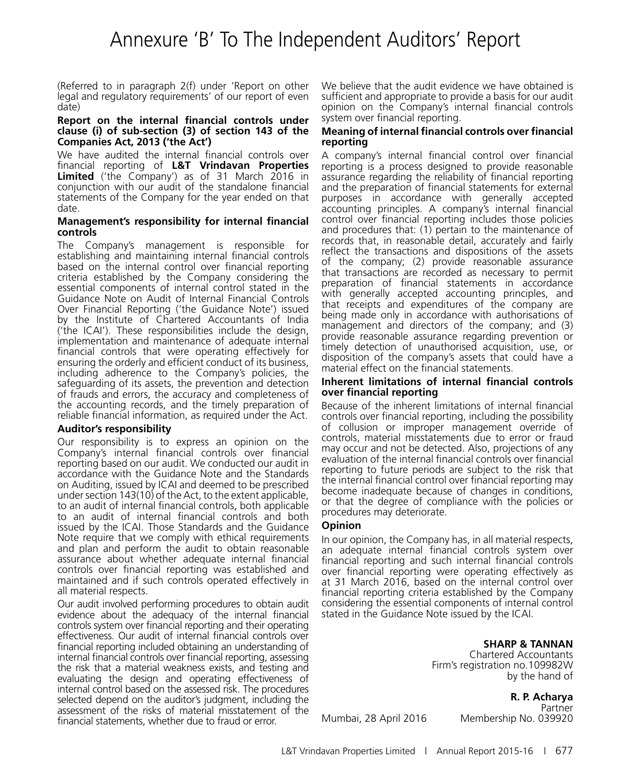(Referred to in paragraph 2(f) under 'Report on other legal and regulatory requirements' of our report of even date)

#### **Report on the internal financial controls under clause (i) of sub-section (3) of section 143 of the Companies Act, 2013 ('the Act')**

We have audited the internal financial controls over financial reporting of **L&T Vrindavan Properties Limited** ('the Company') as of 31 March 2016 in conjunction with our audit of the standalone financial statements of the Company for the year ended on that date.

#### **Management's responsibility for internal financial controls**

The Company's management is responsible for establishing and maintaining internal financial controls based on the internal control over financial reporting criteria established by the Company considering the essential components of internal control stated in the Guidance Note on Audit of Internal Financial Controls Over Financial Reporting ('the Guidance Note') issued by the Institute of Chartered Accountants of India ('the ICAI'). These responsibilities include the design, implementation and maintenance of adequate internal financial controls that were operating effectively for ensuring the orderly and efficient conduct of its business, including adherence to the Company's policies, the safeguarding of its assets, the prevention and detection of frauds and errors, the accuracy and completeness of the accounting records, and the timely preparation of reliable financial information, as required under the Act.

#### **Auditor's responsibility**

Our responsibility is to express an opinion on the Company's internal financial controls over financial reporting based on our audit. We conducted our audit in accordance with the Guidance Note and the Standards on Auditing, issued by ICAI and deemed to be prescribed under section 143(10) of the Act, to the extent applicable, to an audit of internal financial controls, both applicable to an audit of internal financial controls and both issued by the ICAI. Those Standards and the Guidance Note require that we comply with ethical requirements and plan and perform the audit to obtain reasonable assurance about whether adequate internal financial controls over financial reporting was established and maintained and if such controls operated effectively in all material respects.

Our audit involved performing procedures to obtain audit evidence about the adequacy of the internal financial controls system over financial reporting and their operating effectiveness. Our audit of internal financial controls over financial reporting included obtaining an understanding of internal financial controls over financial reporting, assessing the risk that a material weakness exists, and testing and evaluating the design and operating effectiveness of internal control based on the assessed risk. The procedures selected depend on the auditor's judgment, including the assessment of the risks of material misstatement of the financial statements, whether due to fraud or error.

We believe that the audit evidence we have obtained is sufficient and appropriate to provide a basis for our audit opinion on the Company's internal financial controls system over financial reporting.

#### **Meaning of internal financial controls over financial reporting**

A company's internal financial control over financial reporting is a process designed to provide reasonable assurance regarding the reliability of financial reporting and the preparation of financial statements for external purposes in accordance with generally accepted accounting principles. A company's internal financial control over financial reporting includes those policies and procedures that: (1) pertain to the maintenance of records that, in reasonable detail, accurately and fairly reflect the transactions and dispositions of the assets of the company; (2) provide reasonable assurance that transactions are recorded as necessary to permit preparation of financial statements in accordance with generally accepted accounting principles, and that receipts and expenditures of the company are being made only in accordance with authorisations of management and directors of the company; and (3) provide reasonable assurance regarding prevention or timely detection of unauthorised acquisition, use, or disposition of the company's assets that could have a material effect on the financial statements.

#### **Inherent limitations of internal financial controls over financial reporting**

Because of the inherent limitations of internal financial controls over financial reporting, including the possibility of collusion or improper management override of controls, material misstatements due to error or fraud may occur and not be detected. Also, projections of any evaluation of the internal financial controls over financial reporting to future periods are subject to the risk that the internal financial control over financial reporting may become inadequate because of changes in conditions, or that the degree of compliance with the policies or procedures may deteriorate.

#### **Opinion**

In our opinion, the Company has, in all material respects, an adequate internal financial controls system over financial reporting and such internal financial controls over financial reporting were operating effectively as at 31 March 2016, based on the internal control over financial reporting criteria established by the Company considering the essential components of internal control stated in the Guidance Note issued by the ICAI.

> **SHARP & TANNAN** Chartered Accountants Firm's registration no.109982W

> > **R. P. Acharya**

by the hand of

Partner Mumbai, 28 April 2016 Membership No. 039920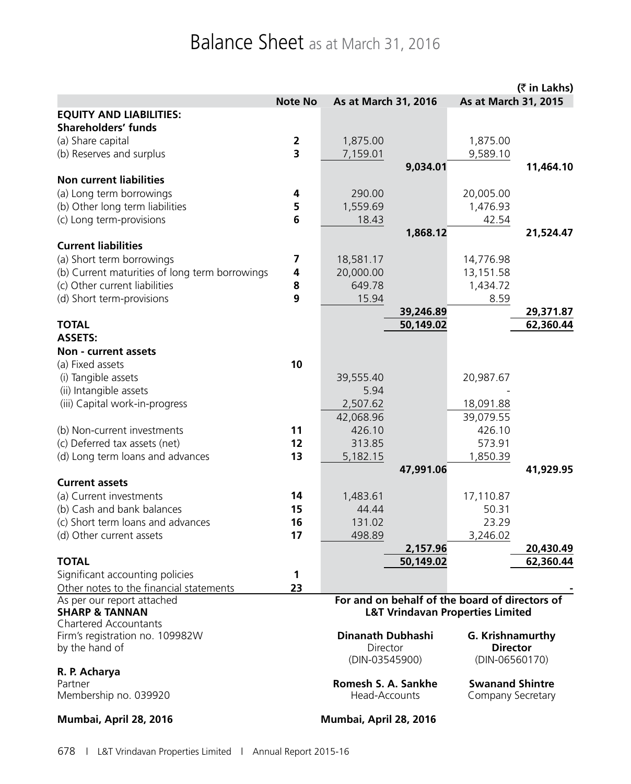# Balance Sheet as at March 31, 2016

|                                                                       |                         |                      |           |                                                | (₹ in Lakhs) |
|-----------------------------------------------------------------------|-------------------------|----------------------|-----------|------------------------------------------------|--------------|
|                                                                       | <b>Note No</b>          | As at March 31, 2016 |           | As at March 31, 2015                           |              |
| <b>EQUITY AND LIABILITIES:</b>                                        |                         |                      |           |                                                |              |
| <b>Shareholders' funds</b>                                            |                         |                      |           |                                                |              |
| (a) Share capital                                                     | $\overline{\mathbf{2}}$ | 1,875.00             |           | 1,875.00                                       |              |
| (b) Reserves and surplus                                              | $\overline{\mathbf{3}}$ | 7,159.01             |           | 9,589.10                                       |              |
|                                                                       |                         |                      | 9,034.01  |                                                | 11,464.10    |
| <b>Non current liabilities</b>                                        |                         |                      |           |                                                |              |
| (a) Long term borrowings                                              | 4                       | 290.00               |           | 20,005.00                                      |              |
| (b) Other long term liabilities                                       | 5                       | 1,559.69             |           | 1,476.93                                       |              |
| (c) Long term-provisions                                              | 6                       | 18.43                |           | 42.54                                          |              |
|                                                                       |                         |                      | 1,868.12  |                                                | 21,524.47    |
| <b>Current liabilities</b>                                            |                         |                      |           |                                                |              |
| (a) Short term borrowings                                             | 7                       | 18,581.17            |           | 14,776.98                                      |              |
| (b) Current maturities of long term borrowings                        | 4                       | 20,000.00            |           | 13,151.58                                      |              |
| (c) Other current liabilities                                         | 8                       | 649.78               |           | 1,434.72                                       |              |
| (d) Short term-provisions                                             | $\mathbf{9}$            | 15.94                |           | 8.59                                           |              |
|                                                                       |                         |                      | 39,246.89 |                                                | 29,371.87    |
| <b>TOTAL</b>                                                          |                         |                      | 50,149.02 |                                                | 62,360.44    |
| <b>ASSETS:</b>                                                        |                         |                      |           |                                                |              |
| Non - current assets                                                  |                         |                      |           |                                                |              |
| (a) Fixed assets                                                      | 10                      |                      |           |                                                |              |
| (i) Tangible assets                                                   |                         | 39,555.40            |           | 20,987.67                                      |              |
| (ii) Intangible assets                                                |                         | 5.94                 |           |                                                |              |
| (iii) Capital work-in-progress                                        |                         | 2,507.62             |           | 18,091.88                                      |              |
|                                                                       |                         | 42,068.96            |           | 39,079.55                                      |              |
| (b) Non-current investments                                           | 11                      | 426.10               |           | 426.10                                         |              |
| (c) Deferred tax assets (net)                                         | 12                      | 313.85               |           | 573.91                                         |              |
| (d) Long term loans and advances                                      | 13                      | 5,182.15             |           | 1,850.39                                       |              |
|                                                                       |                         |                      | 47,991.06 |                                                | 41,929.95    |
| <b>Current assets</b>                                                 |                         |                      |           |                                                |              |
| (a) Current investments                                               | 14                      | 1,483.61             |           | 17,110.87                                      |              |
| (b) Cash and bank balances                                            | 15                      | 44.44                |           | 50.31                                          |              |
| (c) Short term loans and advances                                     | 16                      | 131.02               |           | 23.29                                          |              |
| (d) Other current assets                                              | 17                      | 498.89               |           | 3,246.02                                       |              |
|                                                                       |                         |                      | 2,157.96  |                                                | 20,430.49    |
| TOTAL                                                                 |                         |                      | 50,149.02 |                                                | 62,360.44    |
| Significant accounting policies                                       | 1<br>23                 |                      |           |                                                |              |
| Other notes to the financial statements<br>As per our report attached |                         |                      |           | For and on behalf of the board of directors of |              |
| <b>SHARP &amp; TANNAN</b>                                             |                         |                      |           | <b>L&amp;T Vrindavan Properties Limited</b>    |              |
| <b>Chartered Accountants</b>                                          |                         |                      |           |                                                |              |
| Firm's registration no. 109982W                                       |                         | Dinanath Dubhashi    |           | G. Krishnamurthy                               |              |
| by the hand of                                                        |                         | Director             |           | <b>Director</b>                                |              |
|                                                                       |                         | (DIN-03545900)       |           | (DIN-06560170)                                 |              |
| R. P. Acharya                                                         |                         |                      |           |                                                |              |
| Partner                                                               |                         | Romesh S. A. Sankhe  |           | <b>Swanand Shintre</b>                         |              |
| Membership no. 039920                                                 |                         | Head-Accounts        |           | Company Secretary                              |              |

**Mumbai, April 28, 2016 Mumbai, April 28, 2016**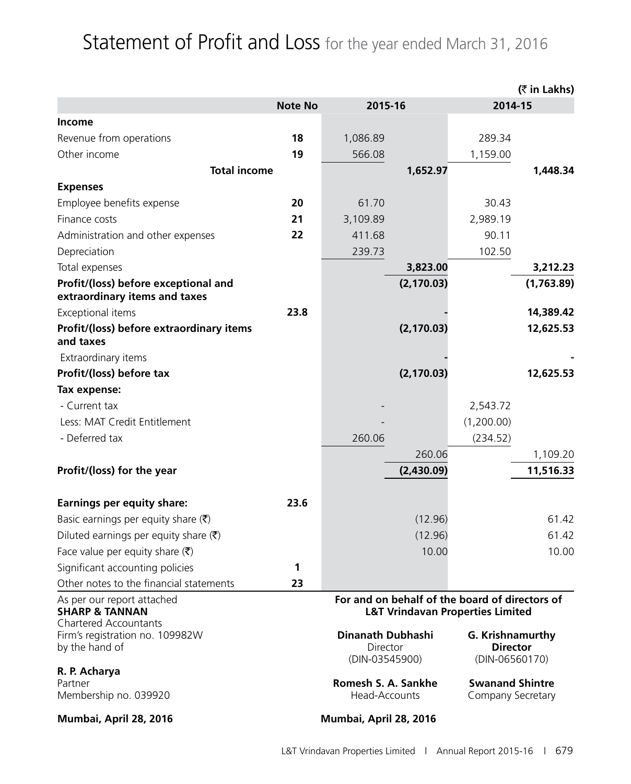# Statement of Profit and Loss for the year ended March 31, 2016

|                                                                                         |                |                                                                                               |             |                                                       | (₹ in Lakhs) |
|-----------------------------------------------------------------------------------------|----------------|-----------------------------------------------------------------------------------------------|-------------|-------------------------------------------------------|--------------|
|                                                                                         | <b>Note No</b> | 2015-16                                                                                       |             | 2014-15                                               |              |
| Income                                                                                  |                |                                                                                               |             |                                                       |              |
| Revenue from operations                                                                 | 18             | 1,086.89                                                                                      |             | 289.34                                                |              |
| Other income                                                                            | 19             | 566.08                                                                                        |             | 1,159.00                                              |              |
| <b>Total income</b>                                                                     |                |                                                                                               | 1,652.97    |                                                       | 1,448.34     |
| <b>Expenses</b>                                                                         |                |                                                                                               |             |                                                       |              |
| Employee benefits expense                                                               | 20             | 61.70                                                                                         |             | 30.43                                                 |              |
| Finance costs                                                                           | 21             | 3,109.89                                                                                      |             | 2,989.19                                              |              |
| Administration and other expenses                                                       | 22             | 411.68                                                                                        |             | 90.11                                                 |              |
| Depreciation                                                                            |                | 239.73                                                                                        |             | 102.50                                                |              |
| Total expenses                                                                          |                |                                                                                               | 3,823.00    |                                                       | 3,212.23     |
| Profit/(loss) before exceptional and<br>extraordinary items and taxes                   |                |                                                                                               | (2, 170.03) |                                                       | (1,763.89)   |
| Exceptional items                                                                       | 23.8           |                                                                                               |             |                                                       | 14,389.42    |
| Profit/(loss) before extraordinary items<br>and taxes                                   |                |                                                                                               | (2, 170.03) |                                                       | 12,625.53    |
| Extraordinary items                                                                     |                |                                                                                               |             |                                                       |              |
| Profit/(loss) before tax                                                                |                |                                                                                               | (2, 170.03) |                                                       | 12,625.53    |
| Tax expense:                                                                            |                |                                                                                               |             |                                                       |              |
| - Current tax                                                                           |                |                                                                                               |             | 2,543.72                                              |              |
| Less: MAT Credit Entitlement                                                            |                |                                                                                               |             | (1,200.00)                                            |              |
| - Deferred tax                                                                          |                | 260.06                                                                                        |             | (234.52)                                              |              |
|                                                                                         |                |                                                                                               | 260.06      |                                                       | 1,109.20     |
| Profit/(loss) for the year                                                              |                |                                                                                               | (2,430.09)  |                                                       | 11,516.33    |
| <b>Earnings per equity share:</b>                                                       | 23.6           |                                                                                               |             |                                                       |              |
| Basic earnings per equity share $(\bar{\zeta})$                                         |                |                                                                                               | (12.96)     |                                                       | 61.42        |
| Diluted earnings per equity share $(\bar{\zeta})$                                       |                |                                                                                               | (12.96)     |                                                       | 61.42        |
| Face value per equity share $(\bar{\zeta})$                                             |                |                                                                                               | 10.00       |                                                       | 10.00        |
| Significant accounting policies                                                         | 1              |                                                                                               |             |                                                       |              |
| Other notes to the financial statements                                                 | 23             |                                                                                               |             |                                                       |              |
| As per our report attached<br><b>SHARP &amp; TANNAN</b><br><b>Chartered Accountants</b> |                | For and on behalf of the board of directors of<br><b>L&amp;T Vrindavan Properties Limited</b> |             |                                                       |              |
| Firm's registration no. 109982W<br>by the hand of                                       |                | Dinanath Dubhashi<br>Director<br>(DIN-03545900)                                               |             | G. Krishnamurthy<br><b>Director</b><br>(DIN-06560170) |              |
| R. P. Acharya<br>Partner<br>Membership no. 039920                                       |                | Romesh S. A. Sankhe<br>Head-Accounts                                                          |             | <b>Swanand Shintre</b><br>Company Secretary           |              |
| Mumbai, April 28, 2016                                                                  |                | Mumbai, April 28, 2016                                                                        |             |                                                       |              |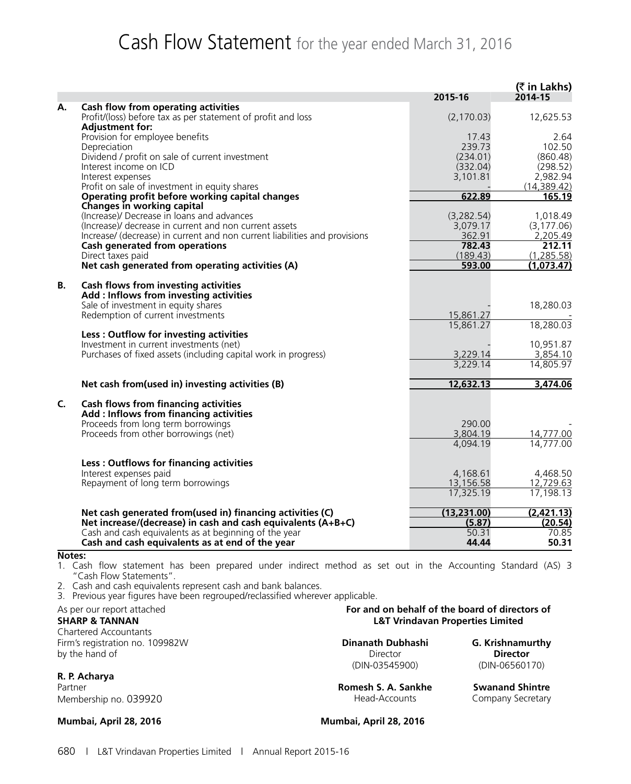# Cash Flow Statement for the year ended March 31, 2016

|             |                                                                                                          | 2015-16                | (₹ in Lakhs)<br>2014-15  |
|-------------|----------------------------------------------------------------------------------------------------------|------------------------|--------------------------|
| А.          | Cash flow from operating activities                                                                      |                        |                          |
|             | Profit/(loss) before tax as per statement of profit and loss<br><b>Adjustment for:</b>                   | (2, 170.03)            | 12,625.53                |
|             | Provision for employee benefits                                                                          | 17.43                  | 2.64                     |
|             | Depreciation                                                                                             | 239.73                 | 102.50                   |
|             | Dividend / profit on sale of current investment                                                          | (234.01)               | (860.48)                 |
|             | Interest income on ICD                                                                                   | (332.04)               | (298.52)                 |
|             | Interest expenses<br>Profit on sale of investment in equity shares                                       | 3,101.81               | 2,982.94<br>(14, 389.42) |
|             | Operating profit before working capital changes                                                          | 622.89                 | 165.19                   |
|             | Changes in working capital                                                                               |                        |                          |
|             | (Increase)/ Decrease in loans and advances                                                               | (3,282.54)             | 1,018.49                 |
|             | (Increase)/ decrease in current and non current assets                                                   | 3,079.17               | (3, 177.06)              |
|             | Increase/ (decrease) in current and non current liabilities and provisions                               | 362.91                 | 2,205.49                 |
|             | <b>Cash generated from operations</b>                                                                    | 782.43                 | 212.11<br>(1, 285.58)    |
|             | Direct taxes paid<br>Net cash generated from operating activities (A)                                    | (189.43)<br>593.00     | (1,073.47)               |
|             |                                                                                                          |                        |                          |
| В.          | Cash flows from investing activities                                                                     |                        |                          |
|             | Add: Inflows from investing activities                                                                   |                        |                          |
|             | Sale of investment in equity shares                                                                      |                        | 18,280.03                |
|             | Redemption of current investments                                                                        | 15,861.27<br>15,861.27 | 18,280.03                |
|             | Less: Outflow for investing activities                                                                   |                        |                          |
|             | Investment in current investments (net)                                                                  |                        | 10,951.87                |
|             | Purchases of fixed assets (including capital work in progress)                                           | 3,229.14               | 3,854.10                 |
|             |                                                                                                          | 3,229.14               | 14,805.97                |
|             | Net cash from(used in) investing activities (B)                                                          | 12,632.13              | 3,474.06                 |
| C.          | <b>Cash flows from financing activities</b>                                                              |                        |                          |
|             | Add: Inflows from financing activities                                                                   |                        |                          |
|             | Proceeds from long term borrowings                                                                       | 290.00                 |                          |
|             | Proceeds from other borrowings (net)                                                                     | 3,804.19               | 14,777.00                |
|             |                                                                                                          | 4,094.19               | 14,777.00                |
|             | Less: Outflows for financing activities                                                                  |                        |                          |
|             | Interest expenses paid                                                                                   | 4,168.61               | 4,468.50                 |
|             | Repayment of long term borrowings                                                                        | 13,156.58              | 12,729.63                |
|             |                                                                                                          | 17,325.19              | 17,198.13                |
|             | Net cash generated from(used in) financing activities (C)                                                | (13,231.00)            | (2,421.13)               |
|             | Net increase/(decrease) in cash and cash equivalents (A+B+C)                                             | (5.87)                 | (20.54)                  |
| $N = 4 - 4$ | Cash and cash equivalents as at beginning of the year<br>Cash and cash equivalents as at end of the year | 50.31<br>44.44         | 70.85<br>50.31           |

#### **Notes:**

1. Cash flow statement has been prepared under indirect method as set out in the Accounting Standard (AS) 3 "Cash Flow Statements".

2. Cash and cash equivalents represent cash and bank balances.

3. Previous year figures have been regrouped/reclassified wherever applicable.

Chartered Accountants Firm's registration no. 109982W **Dinanath Dubhashi G. Krishnamurthy**<br>by the hand of **Director** Director **Director** by the hand of **Director Director Director Director Director Director** 

#### **R. P. Acharya**

Membership no. 039920 **Membership no. 039920** Head-Accounts Company Secretary

**Mumbai, April 28, 2016 Mumbai, April 28, 2016**

As per our report attached<br> **For and on behalf of the board of directors of**<br> **EXT Vrindavan Properties Limited**<br> **EXT Vrindavan Properties Limited L&T Vrindavan Properties Limited** 

(DIN-03545900) (DIN-06560170)

Partner **Communist State Swand Shintre** Romesh S. A. Sankhe Swanand Shintre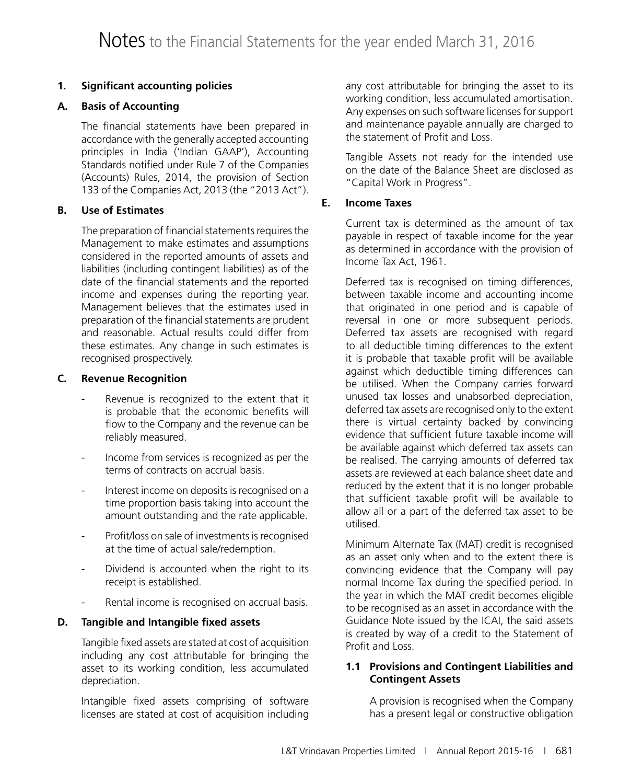#### **1. Significant accounting policies**

#### **A. Basis of Accounting**

The financial statements have been prepared in accordance with the generally accepted accounting principles in India ('Indian GAAP'), Accounting Standards notified under Rule 7 of the Companies (Accounts) Rules, 2014, the provision of Section 133 of the Companies Act, 2013 (the "2013 Act").

#### **B. Use of Estimates**

The preparation of financial statements requires the Management to make estimates and assumptions considered in the reported amounts of assets and liabilities (including contingent liabilities) as of the date of the financial statements and the reported income and expenses during the reporting year. Management believes that the estimates used in preparation of the financial statements are prudent and reasonable. Actual results could differ from these estimates. Any change in such estimates is recognised prospectively.

#### **C. Revenue Recognition**

- Revenue is recognized to the extent that it is probable that the economic benefits will flow to the Company and the revenue can be reliably measured.
- Income from services is recognized as per the terms of contracts on accrual basis.
- Interest income on deposits is recognised on a time proportion basis taking into account the amount outstanding and the rate applicable.
- Profit/loss on sale of investments is recognised at the time of actual sale/redemption.
- Dividend is accounted when the right to its receipt is established.
- Rental income is recognised on accrual basis.

#### **D. Tangible and Intangible fixed assets**

Tangible fixed assets are stated at cost of acquisition including any cost attributable for bringing the asset to its working condition, less accumulated depreciation.

Intangible fixed assets comprising of software licenses are stated at cost of acquisition including any cost attributable for bringing the asset to its working condition, less accumulated amortisation. Any expenses on such software licenses for support and maintenance payable annually are charged to the statement of Profit and Loss.

Tangible Assets not ready for the intended use on the date of the Balance Sheet are disclosed as "Capital Work in Progress".

#### **E. Income Taxes**

Current tax is determined as the amount of tax payable in respect of taxable income for the year as determined in accordance with the provision of Income Tax Act, 1961.

Deferred tax is recognised on timing differences, between taxable income and accounting income that originated in one period and is capable of reversal in one or more subsequent periods. Deferred tax assets are recognised with regard to all deductible timing differences to the extent it is probable that taxable profit will be available against which deductible timing differences can be utilised. When the Company carries forward unused tax losses and unabsorbed depreciation, deferred tax assets are recognised only to the extent there is virtual certainty backed by convincing evidence that sufficient future taxable income will be available against which deferred tax assets can be realised. The carrying amounts of deferred tax assets are reviewed at each balance sheet date and reduced by the extent that it is no longer probable that sufficient taxable profit will be available to allow all or a part of the deferred tax asset to be utilised.

Minimum Alternate Tax (MAT) credit is recognised as an asset only when and to the extent there is convincing evidence that the Company will pay normal Income Tax during the specified period. In the year in which the MAT credit becomes eligible to be recognised as an asset in accordance with the Guidance Note issued by the ICAI, the said assets is created by way of a credit to the Statement of Profit and Loss.

#### **1.1 Provisions and Contingent Liabilities and Contingent Assets**

A provision is recognised when the Company has a present legal or constructive obligation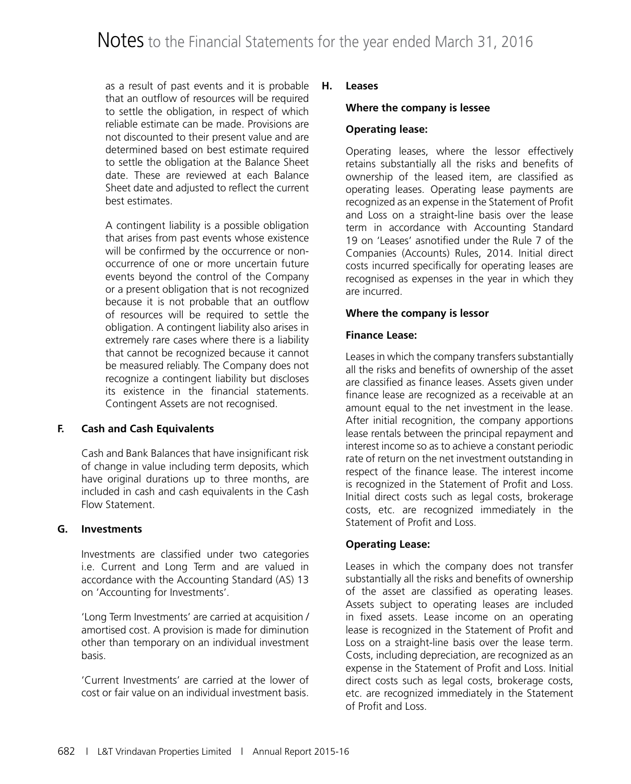as a result of past events and it is probable that an outflow of resources will be required to settle the obligation, in respect of which reliable estimate can be made. Provisions are not discounted to their present value and are determined based on best estimate required to settle the obligation at the Balance Sheet date. These are reviewed at each Balance Sheet date and adjusted to reflect the current best estimates.

A contingent liability is a possible obligation that arises from past events whose existence will be confirmed by the occurrence or nonoccurrence of one or more uncertain future events beyond the control of the Company or a present obligation that is not recognized because it is not probable that an outflow of resources will be required to settle the obligation. A contingent liability also arises in extremely rare cases where there is a liability that cannot be recognized because it cannot be measured reliably. The Company does not recognize a contingent liability but discloses its existence in the financial statements. Contingent Assets are not recognised.

#### **F. Cash and Cash Equivalents**

Cash and Bank Balances that have insignificant risk of change in value including term deposits, which have original durations up to three months, are included in cash and cash equivalents in the Cash Flow Statement.

#### **G. Investments**

Investments are classified under two categories i.e. Current and Long Term and are valued in accordance with the Accounting Standard (AS) 13 on 'Accounting for Investments'.

'Long Term Investments' are carried at acquisition / amortised cost. A provision is made for diminution other than temporary on an individual investment basis.

'Current Investments' are carried at the lower of cost or fair value on an individual investment basis.

#### **H. Leases**

#### **Where the company is lessee**

#### **Operating lease:**

Operating leases, where the lessor effectively retains substantially all the risks and benefits of ownership of the leased item, are classified as operating leases. Operating lease payments are recognized as an expense in the Statement of Profit and Loss on a straight-line basis over the lease term in accordance with Accounting Standard 19 on 'Leases' asnotified under the Rule 7 of the Companies (Accounts) Rules, 2014. Initial direct costs incurred specifically for operating leases are recognised as expenses in the year in which they are incurred.

#### **Where the company is lessor**

#### **Finance Lease:**

Leases in which the company transfers substantially all the risks and benefits of ownership of the asset are classified as finance leases. Assets given under finance lease are recognized as a receivable at an amount equal to the net investment in the lease. After initial recognition, the company apportions lease rentals between the principal repayment and interest income so as to achieve a constant periodic rate of return on the net investment outstanding in respect of the finance lease. The interest income is recognized in the Statement of Profit and Loss. Initial direct costs such as legal costs, brokerage costs, etc. are recognized immediately in the Statement of Profit and Loss.

#### **Operating Lease:**

Leases in which the company does not transfer substantially all the risks and benefits of ownership of the asset are classified as operating leases. Assets subject to operating leases are included in fixed assets. Lease income on an operating lease is recognized in the Statement of Profit and Loss on a straight-line basis over the lease term. Costs, including depreciation, are recognized as an expense in the Statement of Profit and Loss. Initial direct costs such as legal costs, brokerage costs, etc. are recognized immediately in the Statement of Profit and Loss.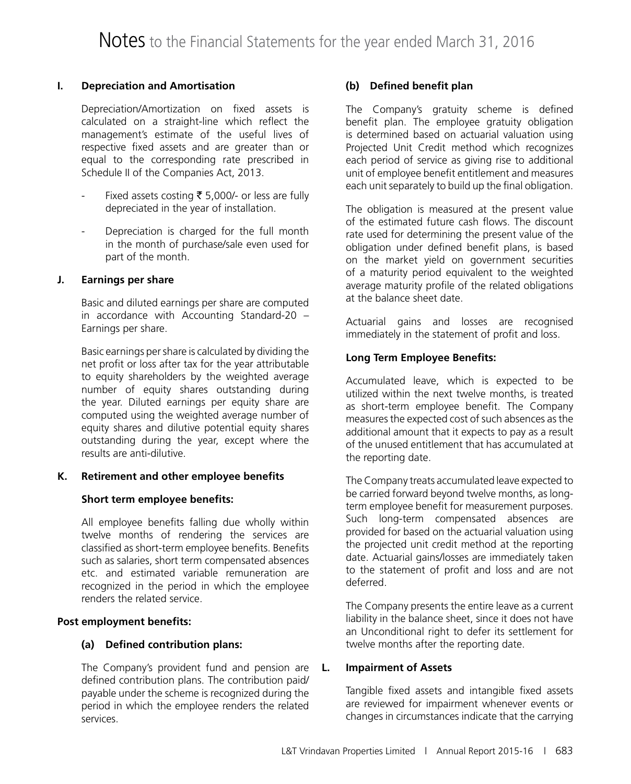#### **I. Depreciation and Amortisation**

Depreciation/Amortization on fixed assets is calculated on a straight-line which reflect the management's estimate of the useful lives of respective fixed assets and are greater than or equal to the corresponding rate prescribed in Schedule II of the Companies Act, 2013.

- Fixed assets costing  $\bar{\bar{\xi}}$  5,000/- or less are fully depreciated in the year of installation.
- Depreciation is charged for the full month in the month of purchase/sale even used for part of the month.

#### **J. Earnings per share**

Basic and diluted earnings per share are computed in accordance with Accounting Standard-20 – Earnings per share.

Basic earnings per share is calculated by dividing the net profit or loss after tax for the year attributable to equity shareholders by the weighted average number of equity shares outstanding during the year. Diluted earnings per equity share are computed using the weighted average number of equity shares and dilutive potential equity shares outstanding during the year, except where the results are anti-dilutive.

#### **K. Retirement and other employee benefits**

#### **Short term employee benefits:**

All employee benefits falling due wholly within twelve months of rendering the services are classified as short-term employee benefits. Benefits such as salaries, short term compensated absences etc. and estimated variable remuneration are recognized in the period in which the employee renders the related service.

#### **Post employment benefits:**

#### **(a) Defined contribution plans:**

The Company's provident fund and pension are defined contribution plans. The contribution paid/ payable under the scheme is recognized during the period in which the employee renders the related services.

#### **(b) Defined benefit plan**

The Company's gratuity scheme is defined benefit plan. The employee gratuity obligation is determined based on actuarial valuation using Projected Unit Credit method which recognizes each period of service as giving rise to additional unit of employee benefit entitlement and measures each unit separately to build up the final obligation.

The obligation is measured at the present value of the estimated future cash flows. The discount rate used for determining the present value of the obligation under defined benefit plans, is based on the market yield on government securities of a maturity period equivalent to the weighted average maturity profile of the related obligations at the balance sheet date.

Actuarial gains and losses are recognised immediately in the statement of profit and loss.

#### **Long Term Employee Benefits:**

Accumulated leave, which is expected to be utilized within the next twelve months, is treated as short-term employee benefit. The Company measures the expected cost of such absences as the additional amount that it expects to pay as a result of the unused entitlement that has accumulated at the reporting date.

The Company treats accumulated leave expected to be carried forward beyond twelve months, as longterm employee benefit for measurement purposes. Such long-term compensated absences are provided for based on the actuarial valuation using the projected unit credit method at the reporting date. Actuarial gains/losses are immediately taken to the statement of profit and loss and are not deferred.

The Company presents the entire leave as a current liability in the balance sheet, since it does not have an Unconditional right to defer its settlement for twelve months after the reporting date.

#### **L. Impairment of Assets**

Tangible fixed assets and intangible fixed assets are reviewed for impairment whenever events or changes in circumstances indicate that the carrying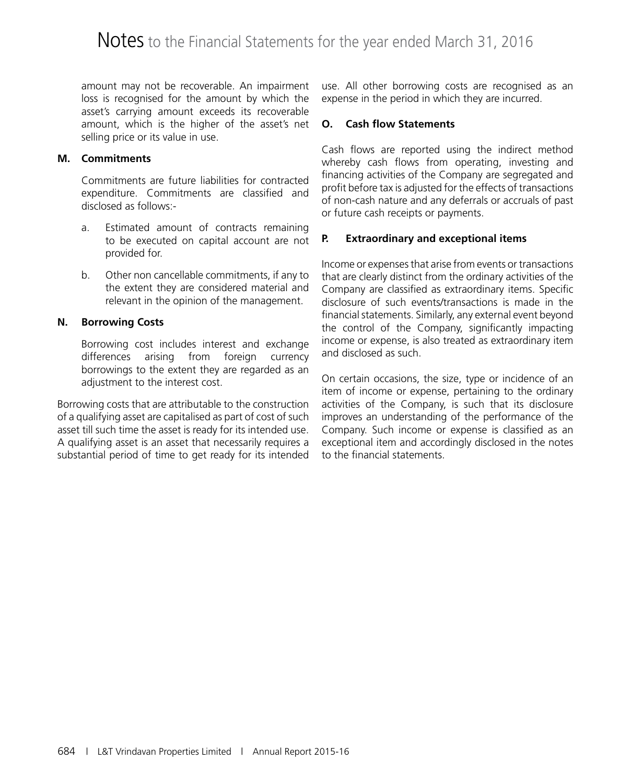amount may not be recoverable. An impairment loss is recognised for the amount by which the asset's carrying amount exceeds its recoverable amount, which is the higher of the asset's net selling price or its value in use.

#### **M. Commitments**

Commitments are future liabilities for contracted expenditure. Commitments are classified and disclosed as follows:-

- a. Estimated amount of contracts remaining to be executed on capital account are not provided for.
- b. Other non cancellable commitments, if any to the extent they are considered material and relevant in the opinion of the management.

#### **N. Borrowing Costs**

Borrowing cost includes interest and exchange differences arising from foreign currency borrowings to the extent they are regarded as an adjustment to the interest cost.

Borrowing costs that are attributable to the construction of a qualifying asset are capitalised as part of cost of such asset till such time the asset is ready for its intended use. A qualifying asset is an asset that necessarily requires a substantial period of time to get ready for its intended

use. All other borrowing costs are recognised as an expense in the period in which they are incurred.

#### **O. Cash flow Statements**

Cash flows are reported using the indirect method whereby cash flows from operating, investing and financing activities of the Company are segregated and profit before tax is adjusted for the effects of transactions of non-cash nature and any deferrals or accruals of past or future cash receipts or payments.

#### **P. Extraordinary and exceptional items**

Income or expenses that arise from events or transactions that are clearly distinct from the ordinary activities of the Company are classified as extraordinary items. Specific disclosure of such events/transactions is made in the financial statements. Similarly, any external event beyond the control of the Company, significantly impacting income or expense, is also treated as extraordinary item and disclosed as such.

On certain occasions, the size, type or incidence of an item of income or expense, pertaining to the ordinary activities of the Company, is such that its disclosure improves an understanding of the performance of the Company. Such income or expense is classified as an exceptional item and accordingly disclosed in the notes to the financial statements.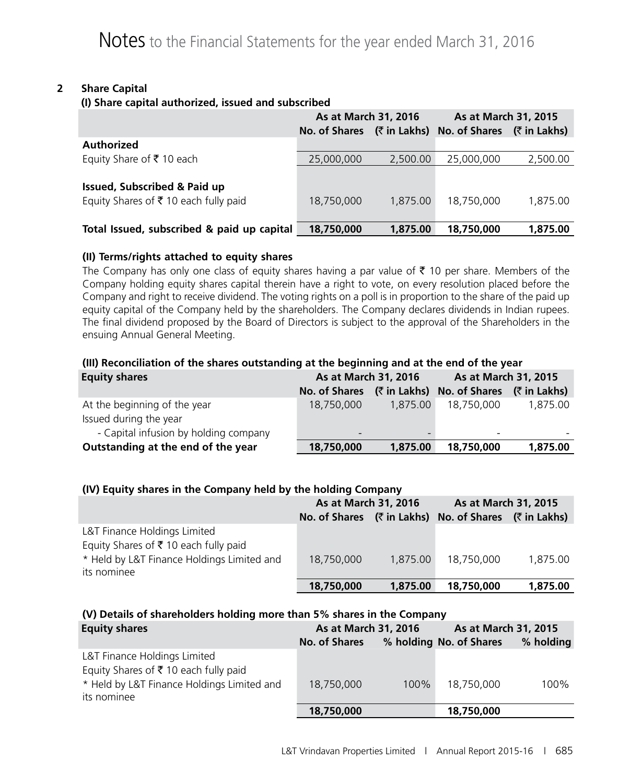#### **2 Share Capital**

#### **(I) Share capital authorized, issued and subscribed**

|                                            | As at March 31, 2016 |              | As at March 31, 2015 |              |
|--------------------------------------------|----------------------|--------------|----------------------|--------------|
|                                            | No. of Shares        | (₹ in Lakhs) | No. of Shares        | (₹ in Lakhs) |
| Authorized                                 |                      |              |                      |              |
| Equity Share of ₹10 each                   | 25,000,000           | 2,500.00     | 25,000,000           | 2,500.00     |
|                                            |                      |              |                      |              |
| <b>Issued, Subscribed &amp; Paid up</b>    |                      |              |                      |              |
| Equity Shares of ₹10 each fully paid       | 18,750,000           | 1,875.00     | 18,750,000           | 1,875.00     |
|                                            |                      |              |                      |              |
| Total Issued, subscribed & paid up capital | 18,750,000           | 1,875,00     | 18,750,000           | 1,875,00     |

#### **(II) Terms/rights attached to equity shares**

The Company has only one class of equity shares having a par value of  $\bar{\tau}$  10 per share. Members of the Company holding equity shares capital therein have a right to vote, on every resolution placed before the Company and right to receive dividend. The voting rights on a poll is in proportion to the share of the paid up equity capital of the Company held by the shareholders. The Company declares dividends in Indian rupees. The final dividend proposed by the Board of Directors is subject to the approval of the Shareholders in the ensuing Annual General Meeting.

#### **(III) Reconciliation of the shares outstanding at the beginning and at the end of the year**

| <b>Equity shares</b>                  | As at March 31, 2016     |              | As at March 31, 2015     |              |
|---------------------------------------|--------------------------|--------------|--------------------------|--------------|
|                                       | No. of Shares            | (₹ in Lakhs) | No. of Shares            | (₹ in Lakhs) |
| At the beginning of the year          | 18,750,000               | 1,875,00     | 18,750,000               | 1,875.00     |
| Issued during the year                |                          |              |                          |              |
| - Capital infusion by holding company | $\overline{\phantom{a}}$ |              | $\overline{\phantom{0}}$ |              |
| Outstanding at the end of the year    | 18,750,000               | 1,875.00     | 18,750,000               | 1,875.00     |

#### **(IV) Equity shares in the Company held by the holding Company**

|                                                                      | As at March 31, 2016 |          | As at March 31, 2015                    |          |
|----------------------------------------------------------------------|----------------------|----------|-----------------------------------------|----------|
|                                                                      | No. of Shares        |          | (₹ in Lakhs) No. of Shares (₹ in Lakhs) |          |
| L&T Finance Holdings Limited<br>Equity Shares of ₹10 each fully paid |                      |          |                                         |          |
| * Held by L&T Finance Holdings Limited and<br>its nominee            | 18,750,000           | 1,875,00 | 18,750,000                              | 1,875.00 |
|                                                                      | 18,750,000           | 1,875,00 | 18,750,000                              | 1,875,00 |

#### **(V) Details of shareholders holding more than 5% shares in the Company**

| <b>Equity shares</b>                                                 | As at March 31, 2016 |      | As at March 31, 2015    |           |
|----------------------------------------------------------------------|----------------------|------|-------------------------|-----------|
|                                                                      | No. of Shares        |      | % holding No. of Shares | % holding |
| L&T Finance Holdings Limited<br>Equity Shares of ₹10 each fully paid |                      |      |                         |           |
| * Held by L&T Finance Holdings Limited and<br>its nominee            | 18,750,000           | 100% | 18,750,000              | 100%      |
|                                                                      | 18,750,000           |      | 18,750,000              |           |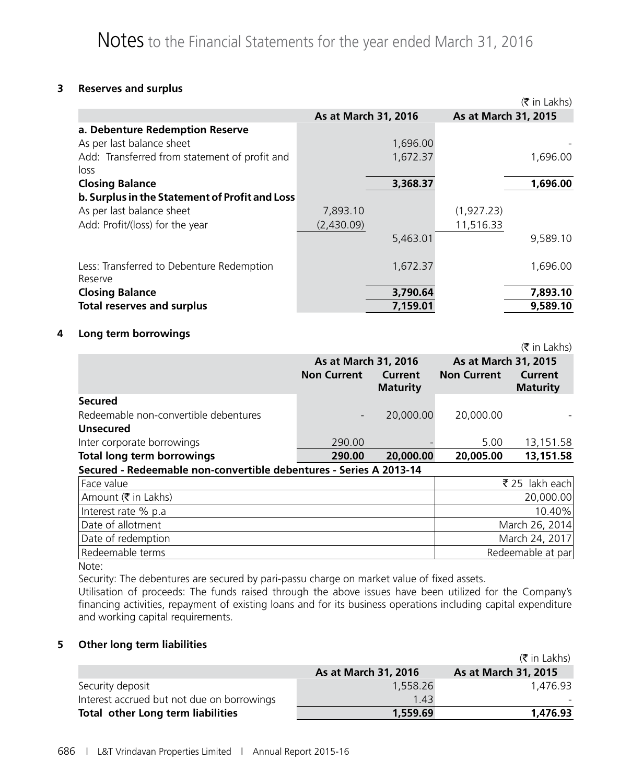#### **3 Reserves and surplus**

|                                                       |            |                      |                      | $(\bar{\bar{\mathbf{x}}}$ in Lakhs) |
|-------------------------------------------------------|------------|----------------------|----------------------|-------------------------------------|
|                                                       |            | As at March 31, 2016 | As at March 31, 2015 |                                     |
| a. Debenture Redemption Reserve                       |            |                      |                      |                                     |
| As per last balance sheet                             |            | 1,696.00             |                      |                                     |
| Add: Transferred from statement of profit and<br>loss |            | 1,672.37             |                      | 1,696.00                            |
| <b>Closing Balance</b>                                |            | 3,368.37             |                      | 1,696.00                            |
| b. Surplus in the Statement of Profit and Loss        |            |                      |                      |                                     |
| As per last balance sheet                             | 7,893.10   |                      | (1,927.23)           |                                     |
| Add: Profit/(loss) for the year                       | (2,430.09) |                      | 11,516.33            |                                     |
|                                                       |            | 5,463.01             |                      | 9,589.10                            |
| Less: Transferred to Debenture Redemption<br>Reserve  |            | 1,672.37             |                      | 1,696.00                            |
| <b>Closing Balance</b>                                |            | 3,790.64             |                      | 7,893.10                            |
| <b>Total reserves and surplus</b>                     |            | 7,159.01             |                      | 9,589.10                            |

#### **4 Long term borrowings**

|                                                                    |                                            |                            |                                            | $(\bar{\bar{\mathbf{x}}}$ in Lakhs) |
|--------------------------------------------------------------------|--------------------------------------------|----------------------------|--------------------------------------------|-------------------------------------|
|                                                                    | As at March 31, 2016<br><b>Non Current</b> | Current<br><b>Maturity</b> | As at March 31, 2015<br><b>Non Current</b> | Current<br><b>Maturity</b>          |
| <b>Secured</b>                                                     |                                            |                            |                                            |                                     |
| Redeemable non-convertible debentures                              |                                            | 20,000.00                  | 20,000.00                                  |                                     |
| <b>Unsecured</b>                                                   |                                            |                            |                                            |                                     |
| Inter corporate borrowings                                         | 290.00                                     |                            | 5.00                                       | 13,151.58                           |
| <b>Total long term borrowings</b>                                  | 290.00                                     | 20,000.00                  | 20,005.00                                  | 13,151.58                           |
| Secured - Redeemable non-convertible debentures - Series A 2013-14 |                                            |                            |                                            |                                     |
| Face value                                                         |                                            |                            |                                            | ₹ 25 lakh each                      |
| Amount ( $\bar{\tau}$ in Lakhs)                                    |                                            |                            |                                            | 20,000.00                           |
| Interest rate % p.a                                                |                                            |                            |                                            | 10.40%                              |
| Date of allotment                                                  |                                            |                            |                                            | March 26, 2014                      |
| Date of redemption                                                 |                                            |                            |                                            | March 24, 2017                      |
| Redeemable terms                                                   |                                            |                            |                                            | Redeemable at par                   |

Note:

Security: The debentures are secured by pari-passu charge on market value of fixed assets.

Utilisation of proceeds: The funds raised through the above issues have been utilized for the Company's financing activities, repayment of existing loans and for its business operations including capital expenditure and working capital requirements.

#### **5 Other long term liabilities**

|                                            |                      | $(\bar{\bar{\mathbf{x}}}$ in Lakhs) |
|--------------------------------------------|----------------------|-------------------------------------|
|                                            | As at March 31, 2016 | As at March 31, 2015                |
| Security deposit                           | 1,558.26             | 1.476.93                            |
| Interest accrued but not due on borrowings | 1.43                 |                                     |
| Total other Long term liabilities          | 1,559.69             | 1,476.93                            |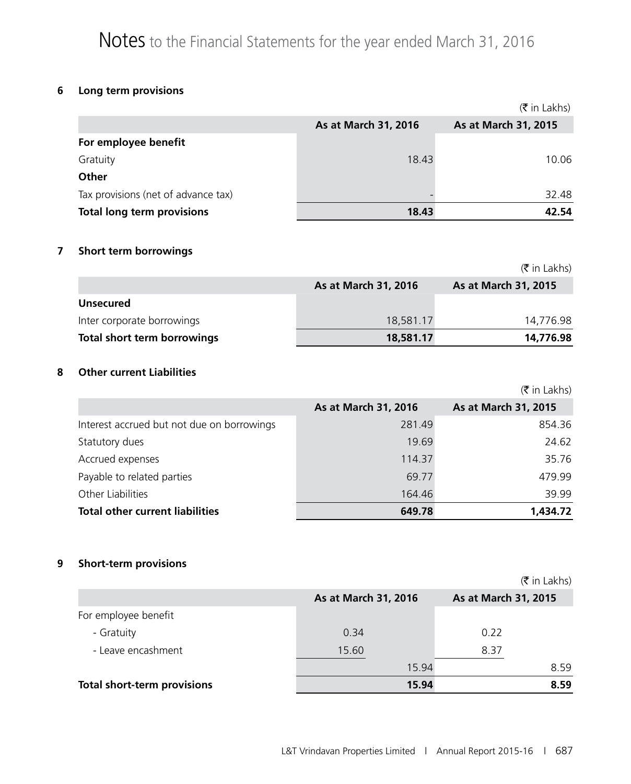## **6 Long term provisions**

|                                     |                      | $(\bar{\bar{\mathbf{x}}}$ in Lakhs) |
|-------------------------------------|----------------------|-------------------------------------|
|                                     | As at March 31, 2016 | As at March 31, 2015                |
| For employee benefit                |                      |                                     |
| Gratuity                            | 18.43                | 10.06                               |
| Other                               |                      |                                     |
| Tax provisions (net of advance tax) |                      | 32.48                               |
| <b>Total long term provisions</b>   | 18.43                | 42.54                               |

#### **7 Short term borrowings**

|                                    |                      | $(\bar{\bar{\mathbf{x}}}$ in Lakhs) |
|------------------------------------|----------------------|-------------------------------------|
|                                    | As at March 31, 2016 | As at March 31, 2015                |
| <b>Unsecured</b>                   |                      |                                     |
| Inter corporate borrowings         | 18,581.17            | 14.776.98                           |
| <b>Total short term borrowings</b> | 18,581.17            | 14,776.98                           |

#### **8 Other current Liabilities**

|                                            |                      | $(\bar{\bar{\mathbf{x}}}$ in Lakhs) |
|--------------------------------------------|----------------------|-------------------------------------|
|                                            | As at March 31, 2016 | As at March 31, 2015                |
| Interest accrued but not due on borrowings | 281.49               | 854.36                              |
| Statutory dues                             | 19.69                | 24.62                               |
| Accrued expenses                           | 114.37               | 35.76                               |
| Payable to related parties                 | 69.77                | 479.99                              |
| <b>Other Liabilities</b>                   | 164.46               | 39.99                               |
| <b>Total other current liabilities</b>     | 649.78               | 1,434.72                            |

#### **9 Short-term provisions**

|                                    |                      | $(\bar{\bar{\mathbf{x}}}$ in Lakhs) |
|------------------------------------|----------------------|-------------------------------------|
|                                    | As at March 31, 2016 | As at March 31, 2015                |
| For employee benefit               |                      |                                     |
| - Gratuity                         | 0.34                 | 0.22                                |
| - Leave encashment                 | 15.60                | 8.37                                |
|                                    | 15.94                | 8.59                                |
| <b>Total short-term provisions</b> | 15.94                | 8.59                                |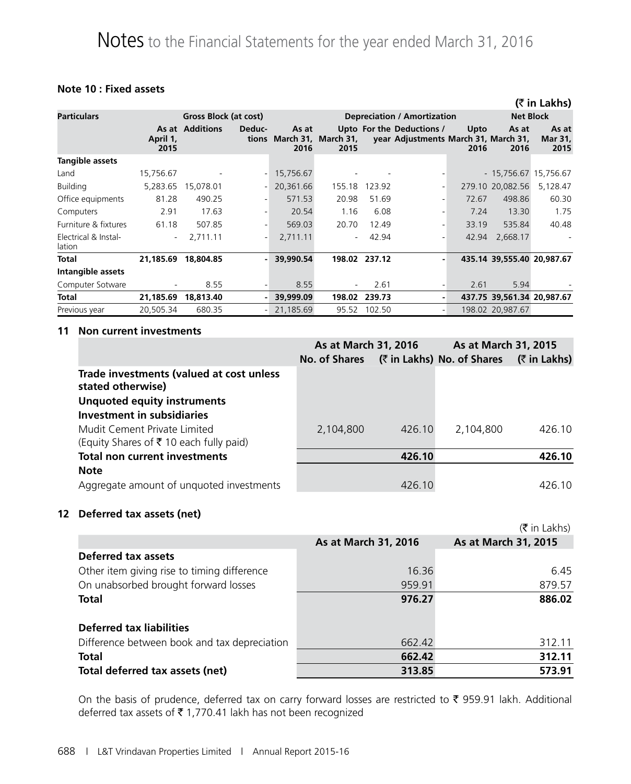#### **Note 10 : Fixed assets**

|                                |                          |                        |                          |                                            |                          |               |                                                                   |              |                            | (₹ in Lakhs)                    |
|--------------------------------|--------------------------|------------------------|--------------------------|--------------------------------------------|--------------------------|---------------|-------------------------------------------------------------------|--------------|----------------------------|---------------------------------|
| <b>Particulars</b>             |                          | Gross Block (at cost)  |                          |                                            |                          |               | <b>Depreciation / Amortization</b>                                |              | <b>Net Block</b>           |                                 |
|                                | April 1,<br>2015         | <b>As at Additions</b> | Deduc-                   | As at<br>tions March 31, March 31,<br>2016 | 2015                     |               | Upto For the Deductions /<br>year Adjustments March 31, March 31, | Upto<br>2016 | As at<br>2016              | As at<br><b>Mar 31,</b><br>2015 |
| <b>Tangible assets</b>         |                          |                        |                          |                                            |                          |               |                                                                   |              |                            |                                 |
| Land                           | 15,756.67                |                        |                          | 15,756.67                                  |                          |               |                                                                   |              | - 15,756.67 15,756.67      |                                 |
| <b>Building</b>                | 5,283.65                 | 15,078.01              |                          | 20,361.66                                  | 155.18                   | 123.92        |                                                                   |              | 279.10 20,082.56           | 5,128.47                        |
| Office equipments              | 81.28                    | 490.25                 | $\overline{\phantom{a}}$ | 571.53                                     | 20.98                    | 51.69         |                                                                   | 72.67        | 498.86                     | 60.30                           |
| Computers                      | 2.91                     | 17.63                  |                          | 20.54                                      | 1.16                     | 6.08          |                                                                   | 7.24         | 13.30                      | 1.75                            |
| Furniture & fixtures           | 61.18                    | 507.85                 |                          | 569.03                                     | 20.70                    | 12.49         |                                                                   | 33.19        | 535.84                     | 40.48                           |
| Electrical & Instal-<br>lation | $\overline{\phantom{a}}$ | 2.711.11               | $\overline{\phantom{a}}$ | 2,711.11                                   | $\overline{\phantom{a}}$ | 42.94         |                                                                   | 42.94        | 2,668.17                   |                                 |
| Total                          | 21,185.69                | 18,804.85              |                          | 39,990.54                                  |                          | 198.02 237.12 |                                                                   |              | 435.14 39,555.40 20,987.67 |                                 |
| Intangible assets              |                          |                        |                          |                                            |                          |               |                                                                   |              |                            |                                 |
| Computer Sotware               | $\overline{\phantom{a}}$ | 8.55                   |                          | 8.55                                       |                          | 2.61          |                                                                   | 2.61         | 5.94                       |                                 |
| Total                          | 21,185.69                | 18,813.40              |                          | 39,999.09                                  | 198.02                   | 239.73        | ۰                                                                 |              | 437.75 39,561.34 20,987.67 |                                 |
| Previous year                  | 20,505.34                | 680.35                 |                          | 21,185.69                                  | 95.52                    | 102.50        | н.                                                                |              | 198.02 20,987.67           |                                 |

#### **11 Non current investments**

|                                                               | As at March 31, 2016 |        | As at March 31, 2015       |                     |
|---------------------------------------------------------------|----------------------|--------|----------------------------|---------------------|
|                                                               | No. of Shares        |        | (₹ in Lakhs) No. of Shares | <b>(₹ in Lakhs)</b> |
| Trade investments (valued at cost unless<br>stated otherwise) |                      |        |                            |                     |
| <b>Unquoted equity instruments</b>                            |                      |        |                            |                     |
| <b>Investment in subsidiaries</b>                             |                      |        |                            |                     |
| Mudit Cement Private Limited                                  | 2,104,800            | 426.10 | 2,104,800                  | 426.10              |
| (Equity Shares of $\bar{\tau}$ 10 each fully paid)            |                      |        |                            |                     |
| <b>Total non current investments</b>                          |                      | 426.10 |                            | 426.10              |
| <b>Note</b>                                                   |                      |        |                            |                     |
| Aggregate amount of unquoted investments                      |                      | 426.10 |                            | 426.10              |

#### **12 Deferred tax assets (net)**

|                                              |                      | $(\bar{\bar{\mathbf{x}}}$ in Lakhs) |
|----------------------------------------------|----------------------|-------------------------------------|
|                                              | As at March 31, 2016 | As at March 31, 2015                |
| Deferred tax assets                          |                      |                                     |
| Other item giving rise to timing difference  | 16.36                | 6.45                                |
| On unabsorbed brought forward losses         | 959.91               | 879.57                              |
| <b>Total</b>                                 | 976.27               | 886.02                              |
| <b>Deferred tax liabilities</b>              |                      |                                     |
| Difference between book and tax depreciation | 662.42               | 312.11                              |
| <b>Total</b>                                 | 662.42               | 312.11                              |
| Total deferred tax assets (net)              | 313.85               | 573.91                              |

On the basis of prudence, deferred tax on carry forward losses are restricted to  $\bar{\tau}$  959.91 lakh. Additional deferred tax assets of  $\bar{\tau}$  1,770.41 lakh has not been recognized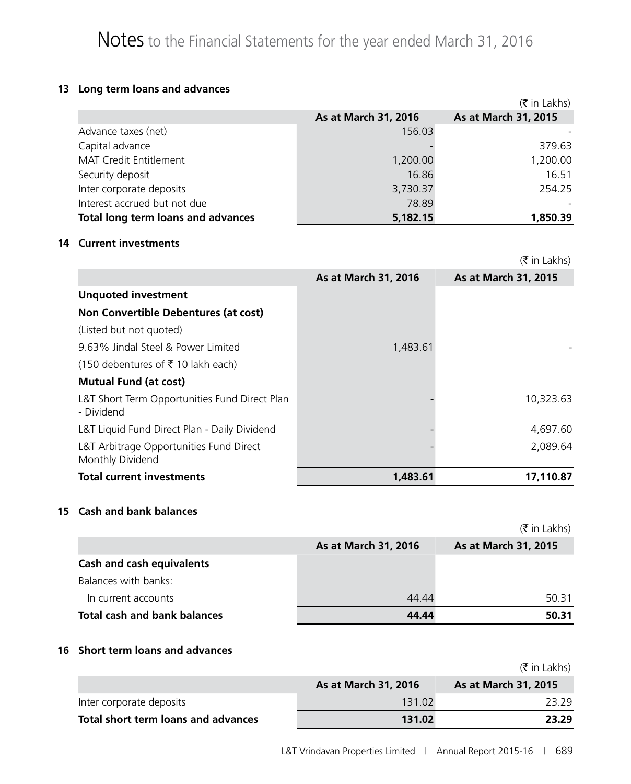#### **13 Long term loans and advances**

|                                    |                      | $(\bar{\bar{\mathbf{x}}}$ in Lakhs) |
|------------------------------------|----------------------|-------------------------------------|
|                                    | As at March 31, 2016 | As at March 31, 2015                |
| Advance taxes (net)                | 156.03               |                                     |
| Capital advance                    |                      | 379.63                              |
| MAT Credit Entitlement             | 1,200.00             | 1,200.00                            |
| Security deposit                   | 16.86                | 16.51                               |
| Inter corporate deposits           | 3,730.37             | 254.25                              |
| Interest accrued but not due       | 78.89                |                                     |
| Total long term loans and advances | 5,182.15             | 1,850.39                            |

#### **14 Current investments**

|                                                             |                      | $(\bar{\bar{\mathbf{x}}}$ in Lakhs) |
|-------------------------------------------------------------|----------------------|-------------------------------------|
|                                                             | As at March 31, 2016 | As at March 31, 2015                |
| <b>Unquoted investment</b>                                  |                      |                                     |
| Non Convertible Debentures (at cost)                        |                      |                                     |
| (Listed but not quoted)                                     |                      |                                     |
| 9.63% Jindal Steel & Power Limited                          | 1,483.61             |                                     |
| $(150$ debentures of ₹ 10 lakh each)                        |                      |                                     |
| <b>Mutual Fund (at cost)</b>                                |                      |                                     |
| L&T Short Term Opportunities Fund Direct Plan<br>- Dividend |                      | 10,323.63                           |
| L&T Liquid Fund Direct Plan - Daily Dividend                |                      | 4,697.60                            |
| L&T Arbitrage Opportunities Fund Direct<br>Monthly Dividend |                      | 2,089.64                            |
| <b>Total current investments</b>                            | 1,483,61             | 17,110.87                           |

#### **15 Cash and bank balances**

|                                     |                      | $(\bar{\bar{\mathbf{x}}}$ in Lakhs) |
|-------------------------------------|----------------------|-------------------------------------|
|                                     | As at March 31, 2016 | As at March 31, 2015                |
| <b>Cash and cash equivalents</b>    |                      |                                     |
| Balances with banks:                |                      |                                     |
| In current accounts                 | 44.44                | 50.31                               |
| <b>Total cash and bank balances</b> | 44.44                | 50.31                               |

#### **16 Short term loans and advances**

|                                     |                             | (₹ in Lakhs)                |
|-------------------------------------|-----------------------------|-----------------------------|
|                                     | <b>As at March 31, 2016</b> | <b>As at March 31, 2015</b> |
| Inter corporate deposits            | 131.02                      | 23.29                       |
| Total short term loans and advances | 131.02                      | 23.29                       |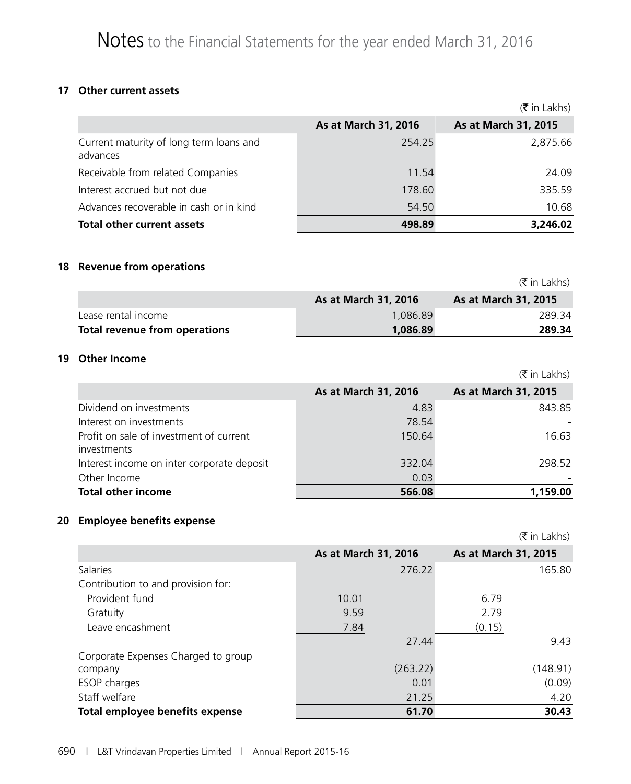#### **17 Other current assets**

|                                                     |                      | $(\bar{\bar{\mathbf{x}}}$ in Lakhs) |
|-----------------------------------------------------|----------------------|-------------------------------------|
|                                                     | As at March 31, 2016 | As at March 31, 2015                |
| Current maturity of long term loans and<br>advances | 254.25               | 2,875.66                            |
| Receivable from related Companies                   | 11.54                | 24.09                               |
| Interest accrued but not due                        | 178.60               | 335.59                              |
| Advances recoverable in cash or in kind             | 54.50                | 10.68                               |
| <b>Total other current assets</b>                   | 498.89               | 3,246.02                            |

#### **18 Revenue from operations**

|                               |                             | (₹ in Lakhs)                |
|-------------------------------|-----------------------------|-----------------------------|
|                               | <b>As at March 31, 2016</b> | <b>As at March 31, 2015</b> |
| Lease rental income           | 1.086.89                    | 289.34                      |
| Total revenue from operations | 1,086.89                    | 289.34                      |

#### **19 Other Income**

|                                                        |                      | $(\bar{\bar{\mathbf{x}}}$ in Lakhs) |
|--------------------------------------------------------|----------------------|-------------------------------------|
|                                                        | As at March 31, 2016 | As at March 31, 2015                |
| Dividend on investments                                | 4.83                 | 843.85                              |
| Interest on investments                                | 78.54                |                                     |
| Profit on sale of investment of current<br>investments | 150.64               | 16.63                               |
| Interest income on inter corporate deposit             | 332.04               | 298.52                              |
| Other Income                                           | 0.03                 |                                     |
| <b>Total other income</b>                              | 566.08               | 1,159.00                            |

### **20 Employee benefits expense**

|                                     |                      | $(\bar{\bar{\mathbf{x}}}$ in Lakhs) |
|-------------------------------------|----------------------|-------------------------------------|
|                                     | As at March 31, 2016 | As at March 31, 2015                |
| <b>Salaries</b>                     | 276.22               | 165.80                              |
| Contribution to and provision for:  |                      |                                     |
| Provident fund                      | 10.01                | 6.79                                |
| Gratuity                            | 9.59                 | 2.79                                |
| Leave encashment                    | 7.84                 | (0.15)                              |
|                                     | 27.44                | 9.43                                |
| Corporate Expenses Charged to group |                      |                                     |
| company                             | (263.22)             | (148.91)                            |
| <b>ESOP</b> charges                 | 0.01                 | (0.09)                              |
| Staff welfare                       | 21.25                | 4.20                                |
| Total employee benefits expense     | 61.70                | 30.43                               |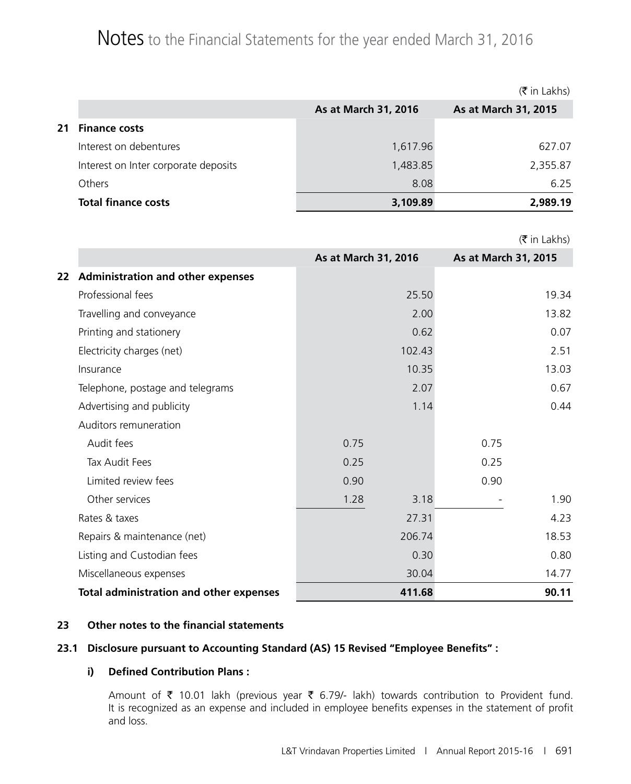## Notes to the Financial Statements for the year ended March 31, 2016

|    |                                      |                      | $(\bar{\bar{\mathbf{x}}}$ in Lakhs) |
|----|--------------------------------------|----------------------|-------------------------------------|
|    |                                      | As at March 31, 2016 | As at March 31, 2015                |
| 21 | <b>Finance costs</b>                 |                      |                                     |
|    | Interest on debentures               | 1,617.96             | 627.07                              |
|    | Interest on Inter corporate deposits | 1,483.85             | 2,355.87                            |
|    | <b>Others</b>                        | 8.08                 | 6.25                                |
|    | <b>Total finance costs</b>           | 3,109.89             | 2,989.19                            |

|    |                                                |                      |                      | $(\bar{\bar{\mathbf{x}}}$ in Lakhs) |
|----|------------------------------------------------|----------------------|----------------------|-------------------------------------|
|    |                                                | As at March 31, 2016 | As at March 31, 2015 |                                     |
| 22 | <b>Administration and other expenses</b>       |                      |                      |                                     |
|    | Professional fees                              | 25.50                |                      | 19.34                               |
|    | Travelling and conveyance                      | 2.00                 |                      | 13.82                               |
|    | Printing and stationery                        | 0.62                 |                      | 0.07                                |
|    | Electricity charges (net)                      | 102.43               |                      | 2.51                                |
|    | Insurance                                      | 10.35                |                      | 13.03                               |
|    | Telephone, postage and telegrams               | 2.07                 |                      | 0.67                                |
|    | Advertising and publicity                      | 1.14                 |                      | 0.44                                |
|    | Auditors remuneration                          |                      |                      |                                     |
|    | Audit fees                                     | 0.75                 | 0.75                 |                                     |
|    | Tax Audit Fees                                 | 0.25                 | 0.25                 |                                     |
|    | Limited review fees                            | 0.90                 | 0.90                 |                                     |
|    | Other services                                 | 1.28<br>3.18         |                      | 1.90                                |
|    | Rates & taxes                                  | 27.31                |                      | 4.23                                |
|    | Repairs & maintenance (net)                    | 206.74               |                      | 18.53                               |
|    | Listing and Custodian fees                     | 0.30                 |                      | 0.80                                |
|    | Miscellaneous expenses                         | 30.04                |                      | 14.77                               |
|    | <b>Total administration and other expenses</b> | 411.68               |                      | 90.11                               |

#### **23 Other notes to the financial statements**

#### **23.1 Disclosure pursuant to Accounting Standard (AS) 15 Revised "Employee Benefits" :**

#### **i) Defined Contribution Plans :**

Amount of  $\bar{\tau}$  10.01 lakh (previous year  $\bar{\tau}$  6.79/- lakh) towards contribution to Provident fund. It is recognized as an expense and included in employee benefits expenses in the statement of profit and loss.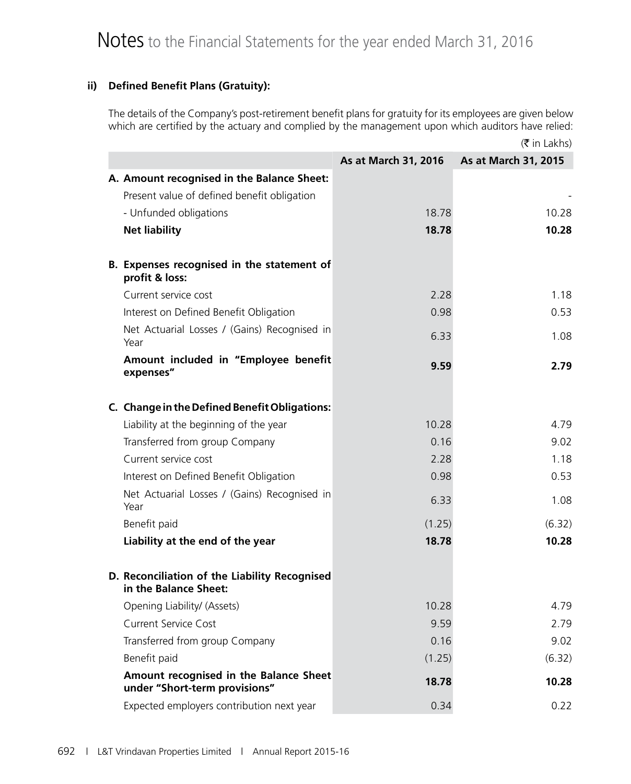#### **ii) Defined Benefit Plans (Gratuity):**

The details of the Company's post-retirement benefit plans for gratuity for its employees are given below which are certified by the actuary and complied by the management upon which auditors have relied:

|                                                                         |                      | $(\bar{\bar{\mathbf{x}}}$ in Lakhs) |
|-------------------------------------------------------------------------|----------------------|-------------------------------------|
|                                                                         | As at March 31, 2016 | As at March 31, 2015                |
| A. Amount recognised in the Balance Sheet:                              |                      |                                     |
| Present value of defined benefit obligation                             |                      |                                     |
| - Unfunded obligations                                                  | 18.78                | 10.28                               |
| <b>Net liability</b>                                                    | 18.78                | 10.28                               |
|                                                                         |                      |                                     |
| B. Expenses recognised in the statement of<br>profit & loss:            |                      |                                     |
| Current service cost                                                    | 2.28                 | 1.18                                |
| Interest on Defined Benefit Obligation                                  | 0.98                 | 0.53                                |
| Net Actuarial Losses / (Gains) Recognised in<br>Year                    | 6.33                 | 1.08                                |
| Amount included in "Employee benefit<br>expenses"                       | 9.59                 | 2.79                                |
|                                                                         |                      |                                     |
| C. Change in the Defined Benefit Obligations:                           |                      |                                     |
| Liability at the beginning of the year                                  | 10.28                | 4.79                                |
| Transferred from group Company                                          | 0.16                 | 9.02                                |
| Current service cost                                                    | 2.28                 | 1.18                                |
| Interest on Defined Benefit Obligation                                  | 0.98                 | 0.53                                |
| Net Actuarial Losses / (Gains) Recognised in<br>Year                    | 6.33                 | 1.08                                |
| Benefit paid                                                            | (1.25)               | (6.32)                              |
| Liability at the end of the year                                        | 18.78                | 10.28                               |
| D. Reconciliation of the Liability Recognised<br>in the Balance Sheet:  |                      |                                     |
| Opening Liability/ (Assets)                                             | 10.28                | 4.79                                |
| <b>Current Service Cost</b>                                             | 9.59                 | 2.79                                |
| Transferred from group Company                                          | 0.16                 | 9.02                                |
| Benefit paid                                                            | (1.25)               | (6.32)                              |
| Amount recognised in the Balance Sheet<br>under "Short-term provisions" | 18.78                | 10.28                               |
| Expected employers contribution next year                               | 0.34                 | 0.22                                |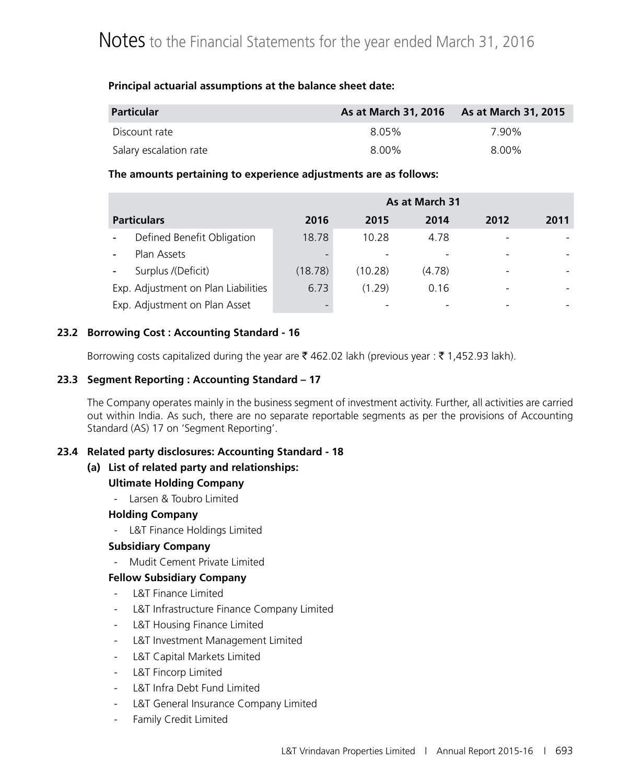#### **Principal actuarial assumptions at the balance sheet date:**

| Particular             | As at March 31, 2016 As at March 31, 2015 |       |
|------------------------|-------------------------------------------|-------|
| Discount rate          | 8.05%                                     | 7.90% |
| Salary escalation rate | 8.00%                                     | 8.00% |

#### **The amounts pertaining to experience adjustments are as follows:**

|                                                        | As at March 31 |         |        |      |      |
|--------------------------------------------------------|----------------|---------|--------|------|------|
| <b>Particulars</b>                                     | 2016           | 2015    | 2014   | 2012 | 2011 |
| Defined Benefit Obligation<br>$\overline{\phantom{a}}$ | 18.78          | 10.28   | 4.78   |      |      |
| Plan Assets                                            |                |         |        |      |      |
| Surplus /(Deficit)                                     | (18.78)        | (10.28) | (4.78) |      |      |
| Exp. Adjustment on Plan Liabilities                    | 6.73           | (1.29)  | 0.16   |      |      |
| Exp. Adjustment on Plan Asset                          |                |         |        |      |      |

#### **23.2 Borrowing Cost : Accounting Standard - 16**

Borrowing costs capitalized during the year are  $\bar{\xi}$  462.02 lakh (previous year :  $\bar{\xi}$  1,452.93 lakh).

#### **23.3 Segment Reporting : Accounting Standard – 17**

The Company operates mainly in the business segment of investment activity. Further, all activities are carried out within India. As such, there are no separate reportable segments as per the provisions of Accounting Standard (AS) 17 on 'Segment Reporting'.

#### **23.4 Related party disclosures: Accounting Standard - 18**

#### **(a) List of related party and relationships:**

#### **Ultimate Holding Company**

- Larsen & Toubro Limited

#### **Holding Company**

- L&T Finance Holdings Limited

#### **Subsidiary Company**

- Mudit Cement Private Limited

#### **Fellow Subsidiary Company**

- L&T Finance Limited
- L&T Infrastructure Finance Company Limited
- L&T Housing Finance Limited
- L&T Investment Management Limited
- L&T Capital Markets Limited
- L&T Fincorp Limited
- L&T Infra Debt Fund Limited
- L&T General Insurance Company Limited
- Family Credit Limited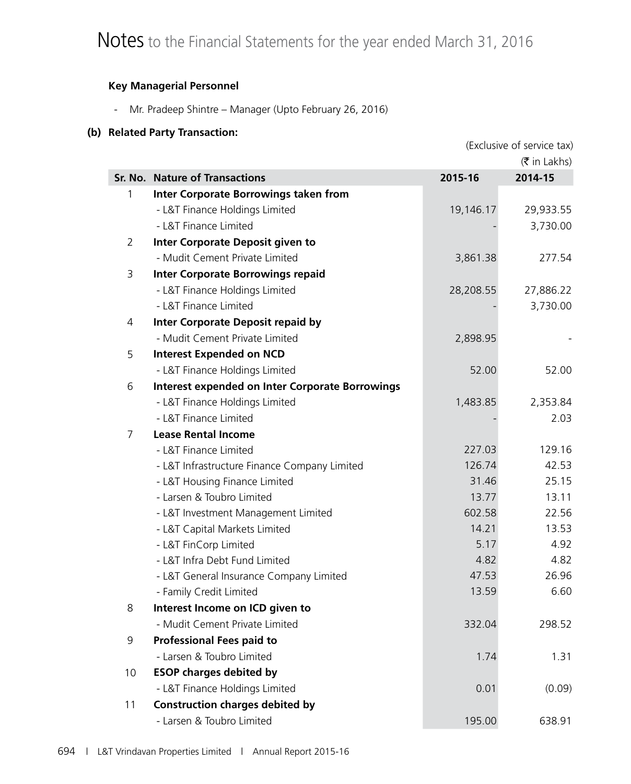#### **Key Managerial Personnel**

- Mr. Pradeep Shintre – Manager (Upto February 26, 2016)

#### **(b) Related Party Transaction:**

|    | (Exclusive of service tax)                             |           |                                     |
|----|--------------------------------------------------------|-----------|-------------------------------------|
|    |                                                        |           | $(\bar{\bar{\mathbf{x}}}$ in Lakhs) |
|    | Sr. No. Nature of Transactions                         | 2015-16   | 2014-15                             |
| 1  | <b>Inter Corporate Borrowings taken from</b>           |           |                                     |
|    | - L&T Finance Holdings Limited                         | 19,146.17 | 29,933.55                           |
|    | - L&T Finance Limited                                  |           | 3,730.00                            |
| 2  | <b>Inter Corporate Deposit given to</b>                |           |                                     |
|    | - Mudit Cement Private Limited                         | 3,861.38  | 277.54                              |
| 3  | <b>Inter Corporate Borrowings repaid</b>               |           |                                     |
|    | - L&T Finance Holdings Limited                         | 28,208.55 | 27,886.22                           |
|    | - L&T Finance Limited                                  |           | 3,730.00                            |
| 4  | <b>Inter Corporate Deposit repaid by</b>               |           |                                     |
|    | - Mudit Cement Private Limited                         | 2,898.95  |                                     |
| 5  | <b>Interest Expended on NCD</b>                        |           |                                     |
|    | - L&T Finance Holdings Limited                         | 52.00     | 52.00                               |
| 6  | <b>Interest expended on Inter Corporate Borrowings</b> |           |                                     |
|    | - L&T Finance Holdings Limited                         | 1,483.85  | 2,353.84                            |
|    | - L&T Finance Limited                                  |           | 2.03                                |
| 7  | <b>Lease Rental Income</b>                             |           |                                     |
|    | - L&T Finance Limited                                  | 227.03    | 129.16                              |
|    | - L&T Infrastructure Finance Company Limited           | 126.74    | 42.53                               |
|    | - L&T Housing Finance Limited                          | 31.46     | 25.15                               |
|    | - Larsen & Toubro Limited                              | 13.77     | 13.11                               |
|    | - L&T Investment Management Limited                    | 602.58    | 22.56                               |
|    | - L&T Capital Markets Limited                          | 14.21     | 13.53                               |
|    | - L&T FinCorp Limited                                  | 5.17      | 4.92                                |
|    | - L&T Infra Debt Fund Limited                          | 4.82      | 4.82                                |
|    | - L&T General Insurance Company Limited                | 47.53     | 26.96                               |
|    | - Family Credit Limited                                | 13.59     | 6.60                                |
| 8  | Interest Income on ICD given to                        |           |                                     |
|    | - Mudit Cement Private Limited                         | 332.04    | 298.52                              |
| 9  | <b>Professional Fees paid to</b>                       |           |                                     |
|    | - Larsen & Toubro Limited                              | 1.74      | 1.31                                |
| 10 | <b>ESOP charges debited by</b>                         |           |                                     |
|    | - L&T Finance Holdings Limited                         | 0.01      | (0.09)                              |
| 11 | <b>Construction charges debited by</b>                 |           |                                     |
|    | - Larsen & Toubro Limited                              | 195.00    | 638.91                              |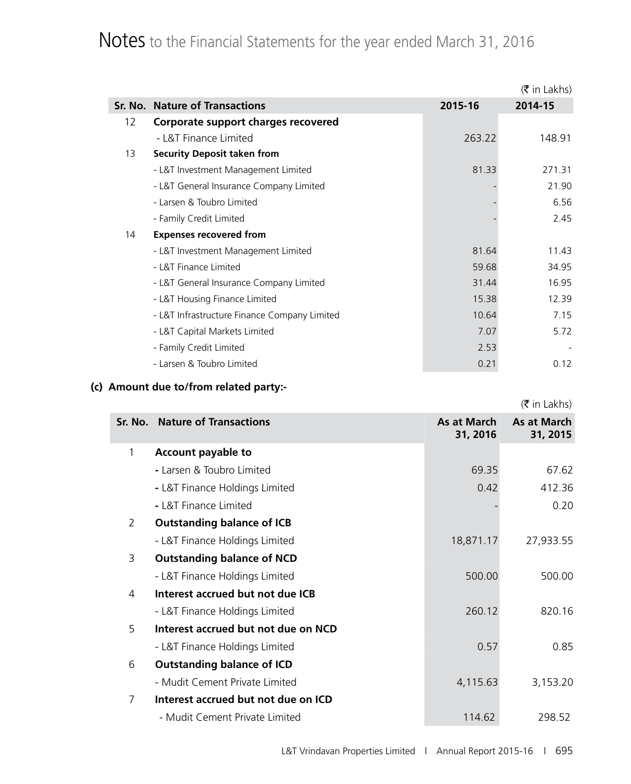# Notes to the Financial Statements for the year ended March 31, 2016

|    |                                              |         | $(\bar{\bar{\mathbf{x}}}$ in Lakhs) |
|----|----------------------------------------------|---------|-------------------------------------|
|    | <b>Sr. No. Nature of Transactions</b>        | 2015-16 | 2014-15                             |
| 12 | Corporate support charges recovered          |         |                                     |
|    | - L&T Finance Limited                        | 263.22  | 148.91                              |
| 13 | <b>Security Deposit taken from</b>           |         |                                     |
|    | - L&T Investment Management Limited          | 81.33   | 271.31                              |
|    | - L&T General Insurance Company Limited      |         | 21.90                               |
|    | - Larsen & Toubro Limited                    |         | 6.56                                |
|    | - Family Credit Limited                      |         | 2.45                                |
| 14 | <b>Expenses recovered from</b>               |         |                                     |
|    | - L&T Investment Management Limited          | 81.64   | 11.43                               |
|    | - L&T Finance Limited                        | 59.68   | 34.95                               |
|    | - L&T General Insurance Company Limited      | 31.44   | 16.95                               |
|    | - L&T Housing Finance Limited                | 15.38   | 12.39                               |
|    | - L&T Infrastructure Finance Company Limited | 10.64   | 7.15                                |
|    | - L&T Capital Markets Limited                | 7.07    | 5.72                                |
|    | - Family Credit Limited                      | 2.53    |                                     |
|    | - Larsen & Toubro Limited                    | 0.21    | 0.12                                |

## **(c) Amount due to/from related party:-**

|              |                                     |                         | $(\bar{\bar{\mathbf{x}}}$ in Lakhs) |
|--------------|-------------------------------------|-------------------------|-------------------------------------|
|              | Sr. No. Nature of Transactions      | As at March<br>31, 2016 | As at March<br>31, 2015             |
| $\mathbf{1}$ | <b>Account payable to</b>           |                         |                                     |
|              | - Larsen & Toubro Limited           | 69.35                   | 67.62                               |
|              | - L&T Finance Holdings Limited      | 0.42                    | 412.36                              |
|              | - L&T Finance Limited               |                         | 0.20                                |
| 2            | <b>Outstanding balance of ICB</b>   |                         |                                     |
|              | - L&T Finance Holdings Limited      | 18,871.17               | 27,933.55                           |
| 3            | <b>Outstanding balance of NCD</b>   |                         |                                     |
|              | - L&T Finance Holdings Limited      | 500.00                  | 500.00                              |
| 4            | Interest accrued but not due ICB    |                         |                                     |
|              | - L&T Finance Holdings Limited      | 260.12                  | 820.16                              |
| 5            | Interest accrued but not due on NCD |                         |                                     |
|              | - L&T Finance Holdings Limited      | 0.57                    | 0.85                                |
| 6            | <b>Outstanding balance of ICD</b>   |                         |                                     |
|              | - Mudit Cement Private Limited      | 4,115.63                | 3,153.20                            |
| 7            | Interest accrued but not due on ICD |                         |                                     |
|              | - Mudit Cement Private Limited      | 114.62                  | 298.52                              |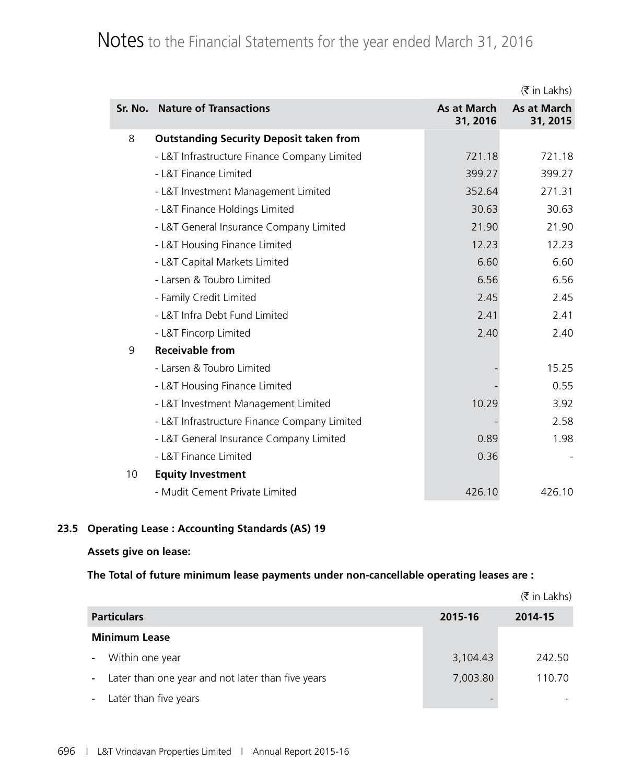## Notes to the Financial Statements for the year ended March 31, 2016

|    |                                                |                         | $(\bar{\bar{\mathbf{x}}}$ in Lakhs) |
|----|------------------------------------------------|-------------------------|-------------------------------------|
|    | Sr. No. Nature of Transactions                 | As at March<br>31, 2016 | As at March<br>31, 2015             |
| 8  | <b>Outstanding Security Deposit taken from</b> |                         |                                     |
|    | - L&T Infrastructure Finance Company Limited   | 721.18                  | 721.18                              |
|    | - L&T Finance Limited                          | 399.27                  | 399.27                              |
|    | - L&T Investment Management Limited            | 352.64                  | 271.31                              |
|    | - L&T Finance Holdings Limited                 | 30.63                   | 30.63                               |
|    | - L&T General Insurance Company Limited        | 21.90                   | 21.90                               |
|    | - L&T Housing Finance Limited                  | 12.23                   | 12.23                               |
|    | - L&T Capital Markets Limited                  | 6.60                    | 6.60                                |
|    | - Larsen & Toubro Limited                      | 6.56                    | 6.56                                |
|    | - Family Credit Limited                        | 2.45                    | 2.45                                |
|    | - L&T Infra Debt Fund Limited                  | 2.41                    | 2.41                                |
|    | - L&T Fincorp Limited                          | 2.40                    | 2.40                                |
| 9  | <b>Receivable from</b>                         |                         |                                     |
|    | - Larsen & Toubro Limited                      |                         | 15.25                               |
|    | - L&T Housing Finance Limited                  |                         | 0.55                                |
|    | - L&T Investment Management Limited            | 10.29                   | 3.92                                |
|    | - L&T Infrastructure Finance Company Limited   |                         | 2.58                                |
|    | - L&T General Insurance Company Limited        | 0.89                    | 1.98                                |
|    | - L&T Finance Limited                          | 0.36                    |                                     |
| 10 | <b>Equity Investment</b>                       |                         |                                     |
|    | - Mudit Cement Private Limited                 | 426.10                  | 426.10                              |

#### **23.5 Operating Lease : Accounting Standards (AS) 19**

#### **Assets give on lease:**

#### **The Total of future minimum lease payments under non-cancellable operating leases are :**

|                                                             |                          | $(\bar{\bar{\mathbf{x}}}$ in Lakhs) |
|-------------------------------------------------------------|--------------------------|-------------------------------------|
| <b>Particulars</b>                                          | 2015-16                  | 2014-15                             |
| <b>Minimum Lease</b>                                        |                          |                                     |
| Within one year                                             | 3,104.43                 | 242.50                              |
| Later than one year and not later than five years<br>$\sim$ | 7,003.80                 | 110.70                              |
| Later than five years<br>$\blacksquare$                     | $\overline{\phantom{a}}$ |                                     |